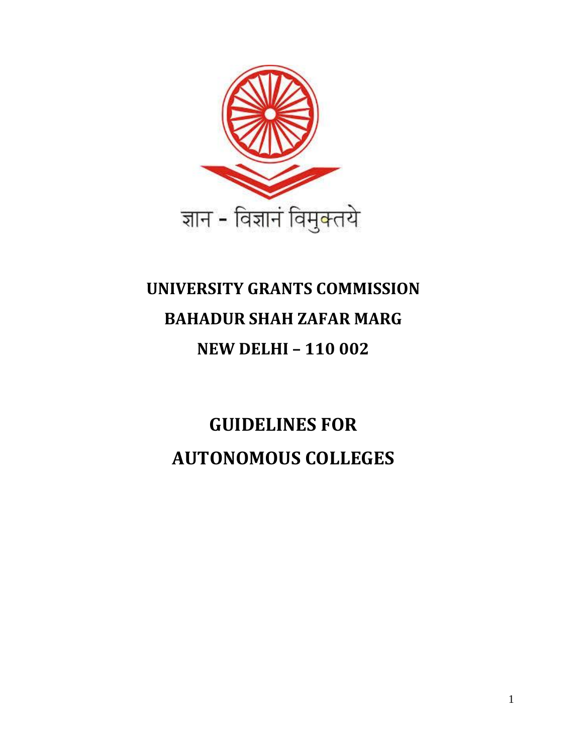

# **UNIVERSITY GRANTS COMMISSION BAHADUR SHAH ZAFAR MARG NEW DELHI – 110 002**

**GUIDELINES FOR AUTONOMOUS COLLEGES**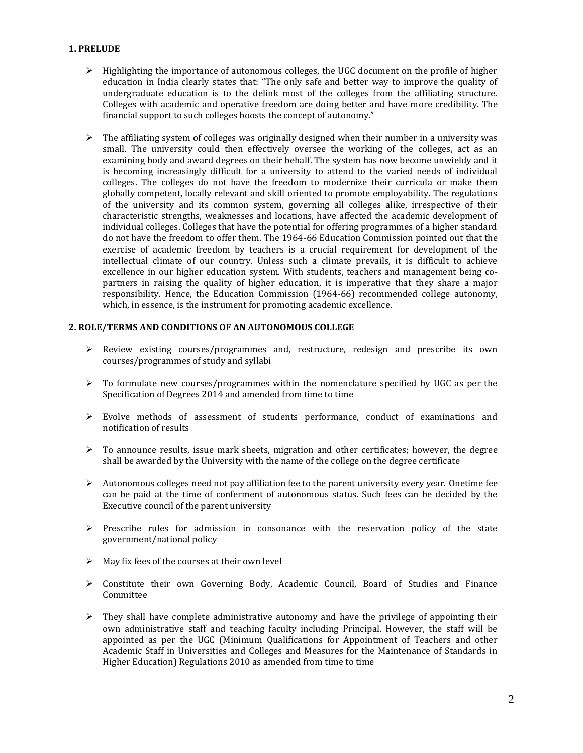#### **1. PRELUDE**

- $\triangleright$  Highlighting the importance of autonomous colleges, the UGC document on the profile of higher education in India clearly states that: "The only safe and better way to improve the quality of undergraduate education is to the delink most of the colleges from the affiliating structure. Colleges with academic and operative freedom are doing better and have more credibility. The financial support to such colleges boosts the concept of autonomy."
- $\triangleright$  The affiliating system of colleges was originally designed when their number in a university was small. The university could then effectively oversee the working of the colleges, act as an examining body and award degrees on their behalf. The system has now become unwieldy and it is becoming increasingly difficult for a university to attend to the varied needs of individual colleges. The colleges do not have the freedom to modernize their curricula or make them globally competent, locally relevant and skill oriented to promote employability. The regulations of the university and its common system, governing all colleges alike, irrespective of their characteristic strengths, weaknesses and locations, have affected the academic development of individual colleges. Colleges that have the potential for offering programmes of a higher standard do not have the freedom to offer them. The 1964-66 Education Commission pointed out that the exercise of academic freedom by teachers is a crucial requirement for development of the intellectual climate of our country. Unless such a climate prevails, it is difficult to achieve excellence in our higher education system. With students, teachers and management being copartners in raising the quality of higher education, it is imperative that they share a major responsibility. Hence, the Education Commission (1964-66) recommended college autonomy, which, in essence, is the instrument for promoting academic excellence.

#### **2. ROLE/TERMS AND CONDITIONS OF AN AUTONOMOUS COLLEGE**

- Review existing courses/programmes and, restructure, redesign and prescribe its own courses/programmes of study and syllabi
- $\triangleright$  To formulate new courses/programmes within the nomenclature specified by UGC as per the Specification of Degrees 2014 and amended from time to time
- $\triangleright$  Evolve methods of assessment of students performance, conduct of examinations and notification of results
- $\triangleright$  To announce results, issue mark sheets, migration and other certificates; however, the degree shall be awarded by the University with the name of the college on the degree certificate
- $\triangleright$  Autonomous colleges need not pay affiliation fee to the parent university every year. Onetime fee can be paid at the time of conferment of autonomous status. Such fees can be decided by the Executive council of the parent university
- $\triangleright$  Prescribe rules for admission in consonance with the reservation policy of the state government/national policy
- $\triangleright$  May fix fees of the courses at their own level
- $\triangleright$  Constitute their own Governing Body, Academic Council, Board of Studies and Finance Committee
- $\triangleright$  They shall have complete administrative autonomy and have the privilege of appointing their own administrative staff and teaching faculty including Principal. However, the staff will be appointed as per the UGC (Minimum Qualifications for Appointment of Teachers and other Academic Staff in Universities and Colleges and Measures for the Maintenance of Standards in Higher Education) Regulations 2010 as amended from time to time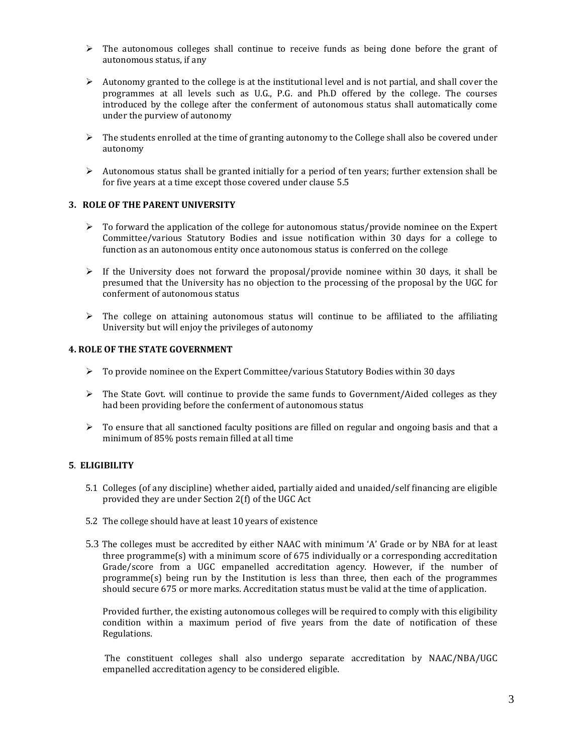- $\triangleright$  The autonomous colleges shall continue to receive funds as being done before the grant of autonomous status, if any
- $\triangleright$  Autonomy granted to the college is at the institutional level and is not partial, and shall cover the programmes at all levels such as U.G., P.G. and Ph.D offered by the college. The courses introduced by the college after the conferment of autonomous status shall automatically come under the purview of autonomy
- $\triangleright$  The students enrolled at the time of granting autonomy to the College shall also be covered under autonomy
- $\triangleright$  Autonomous status shall be granted initially for a period of ten years; further extension shall be for five years at a time except those covered under clause 5.5

#### **3. ROLE OF THE PARENT UNIVERSITY**

- $\triangleright$  To forward the application of the college for autonomous status/provide nominee on the Expert Committee/various Statutory Bodies and issue notification within 30 days for a college to function as an autonomous entity once autonomous status is conferred on the college
- $\triangleright$  If the University does not forward the proposal/provide nominee within 30 days, it shall be presumed that the University has no objection to the processing of the proposal by the UGC for conferment of autonomous status
- $\triangleright$  The college on attaining autonomous status will continue to be affiliated to the affiliating University but will enjoy the privileges of autonomy

#### **4. ROLE OF THE STATE GOVERNMENT**

- $\triangleright$  To provide nominee on the Expert Committee/various Statutory Bodies within 30 days
- $\triangleright$  The State Govt. will continue to provide the same funds to Government/Aided colleges as they had been providing before the conferment of autonomous status
- $\triangleright$  To ensure that all sanctioned faculty positions are filled on regular and ongoing basis and that a minimum of 85% posts remain filled at all time

# **5**. **ELIGIBILITY**

- 5.1 Colleges (of any discipline) whether aided, partially aided and unaided/self financing are eligible provided they are under Section 2(f) of the UGC Act
- 5.2 The college should have at least 10 years of existence
- 5.3 The colleges must be accredited by either NAAC with minimum 'A' Grade or by NBA for at least three programme(s) with a minimum score of 675 individually or a corresponding accreditation Grade/score from a UGC empanelled accreditation agency. However, if the number of programme(s) being run by the Institution is less than three, then each of the programmes should secure 675 or more marks. Accreditation status must be valid at the time of application.

Provided further, the existing autonomous colleges will be required to comply with this eligibility condition within a maximum period of five years from the date of notification of these Regulations.

The constituent colleges shall also undergo separate accreditation by NAAC/NBA/UGC empanelled accreditation agency to be considered eligible.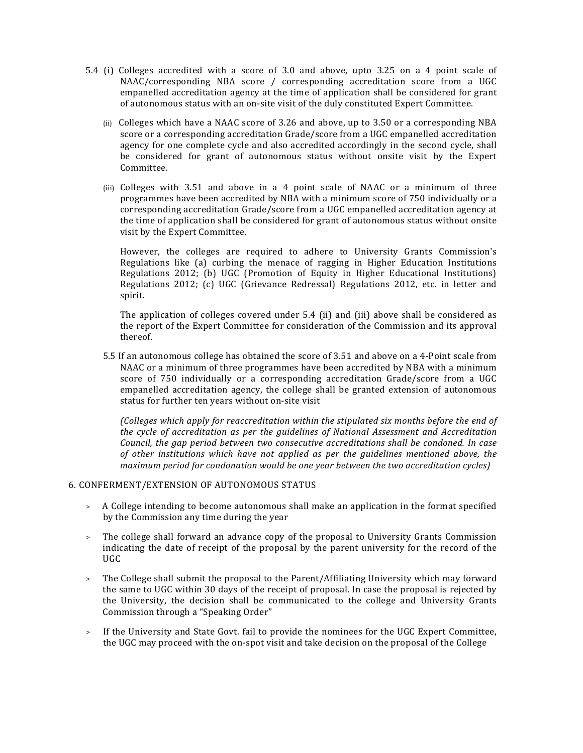- 5.4 (i) Colleges accredited with a score of 3.0 and above, upto 3.25 on a 4 point scale of NAAC/corresponding NBA score / corresponding accreditation score from a UGC empanelled accreditation agency at the time of application shall be considered for grant of autonomous status with an on-site visit of the duly constituted Expert Committee.
	- (ii) Colleges which have a NAAC score of 3.26 and above, up to 3.50 or a corresponding NBA score or a corresponding accreditation Grade/score from a UGC empanelled accreditation agency for one complete cycle and also accredited accordingly in the second cycle, shall be considered for grant of autonomous status without onsite visit by the Expert Committee.
	- (iii) Colleges with 3.51 and above in a 4 point scale of NAAC or a minimum of three programmes have been accredited by NBA with a minimum score of 750 individually or a corresponding accreditation Grade/score from a UGC empanelled accreditation agency at the time of application shall be considered for grant of autonomous status without onsite visit by the Expert Committee.

However, the colleges are required to adhere to University Grants Commission's Regulations like (a) curbing the menace of ragging in Higher Education Institutions Regulations 2012; (b) UGC (Promotion of Equity in Higher Educational Institutions) Regulations 2012; (c) UGC (Grievance Redressal) Regulations 2012, etc. in letter and spirit.

The application of colleges covered under 5.4 (ii) and (iii) above shall be considered as the report of the Expert Committee for consideration of the Commission and its approval thereof.

5.5 If an autonomous college has obtained the score of 3.51 and above on a 4-Point scale from NAAC or a minimum of three programmes have been accredited by NBA with a minimum score of 750 individually or a corresponding accreditation Grade/score from a UGC empanelled accreditation agency, the college shall be granted extension of autonomous status for further ten years without on-site visit

*(Colleges which apply for reaccreditation within the stipulated six months before the end of the cycle of accreditation as per the guidelines of National Assessment and Accreditation Council, the gap period between two consecutive accreditations shall be condoned. In case of other institutions which have not applied as per the guidelines mentioned above, the maximum period for condonation would be one year between the two accreditation cycles)*

#### 6. CONFERMENT/EXTENSION OF AUTONOMOUS STATUS

- > A College intending to become autonomous shall make an application in the format specified by the Commission any time during the year
- > The college shall forward an advance copy of the proposal to University Grants Commission indicating the date of receipt of the proposal by the parent university for the record of the UGC
- > The College shall submit the proposal to the Parent/Affiliating University which may forward the same to UGC within 30 days of the receipt of proposal. In case the proposal is rejected by the University, the decision shall be communicated to the college and University Grants Commission through a "Speaking Order"
- > If the University and State Govt. fail to provide the nominees for the UGC Expert Committee, the UGC may proceed with the on-spot visit and take decision on the proposal of the College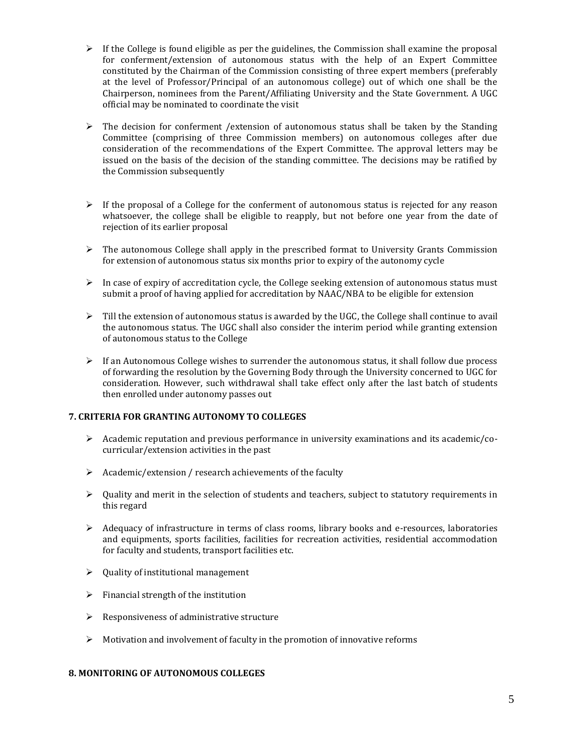- $\triangleright$  If the College is found eligible as per the guidelines, the Commission shall examine the proposal for conferment/extension of autonomous status with the help of an Expert Committee constituted by the Chairman of the Commission consisting of three expert members (preferably at the level of Professor/Principal of an autonomous college) out of which one shall be the Chairperson, nominees from the Parent/Affiliating University and the State Government. A UGC official may be nominated to coordinate the visit
- $\triangleright$  The decision for conferment /extension of autonomous status shall be taken by the Standing Committee (comprising of three Commission members) on autonomous colleges after due consideration of the recommendations of the Expert Committee. The approval letters may be issued on the basis of the decision of the standing committee. The decisions may be ratified by the Commission subsequently
- $\triangleright$  If the proposal of a College for the conferment of autonomous status is rejected for any reason whatsoever, the college shall be eligible to reapply, but not before one year from the date of rejection of its earlier proposal
- $\triangleright$  The autonomous College shall apply in the prescribed format to University Grants Commission for extension of autonomous status six months prior to expiry of the autonomy cycle
- $\triangleright$  In case of expiry of accreditation cycle, the College seeking extension of autonomous status must submit a proof of having applied for accreditation by NAAC/NBA to be eligible for extension
- $\triangleright$  Till the extension of autonomous status is awarded by the UGC, the College shall continue to avail the autonomous status. The UGC shall also consider the interim period while granting extension of autonomous status to the College
- $\triangleright$  If an Autonomous College wishes to surrender the autonomous status, it shall follow due process of forwarding the resolution by the Governing Body through the University concerned to UGC for consideration. However, such withdrawal shall take effect only after the last batch of students then enrolled under autonomy passes out

# **7. CRITERIA FOR GRANTING AUTONOMY TO COLLEGES**

- $\triangleright$  Academic reputation and previous performance in university examinations and its academic/cocurricular/extension activities in the past
- $\triangleright$  Academic/extension / research achievements of the faculty
- $\triangleright$  Quality and merit in the selection of students and teachers, subject to statutory requirements in this regard
- $\triangleright$  Adequacy of infrastructure in terms of class rooms, library books and e-resources, laboratories and equipments, sports facilities, facilities for recreation activities, residential accommodation for faculty and students, transport facilities etc.
- $\geq$  0uality of institutional management
- $\triangleright$  Financial strength of the institution
- $\triangleright$  Responsiveness of administrative structure
- $\triangleright$  Motivation and involvement of faculty in the promotion of innovative reforms

#### **8. MONITORING OF AUTONOMOUS COLLEGES**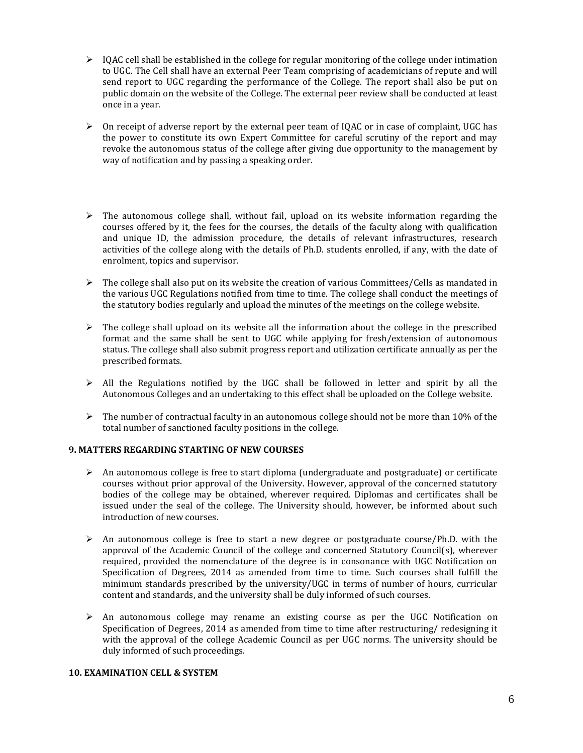- $\geq$  IQAC cell shall be established in the college for regular monitoring of the college under intimation to UGC. The Cell shall have an external Peer Team comprising of academicians of repute and will send report to UGC regarding the performance of the College. The report shall also be put on public domain on the website of the College. The external peer review shall be conducted at least once in a year.
- $\triangleright$  On receipt of adverse report by the external peer team of IQAC or in case of complaint, UGC has the power to constitute its own Expert Committee for careful scrutiny of the report and may revoke the autonomous status of the college after giving due opportunity to the management by way of notification and by passing a speaking order.
- $\triangleright$  The autonomous college shall, without fail, upload on its website information regarding the courses offered by it, the fees for the courses, the details of the faculty along with qualification and unique ID, the admission procedure, the details of relevant infrastructures, research activities of the college along with the details of Ph.D. students enrolled, if any, with the date of enrolment, topics and supervisor.
- The college shall also put on its website the creation of various Committees/Cells as mandated in the various UGC Regulations notified from time to time. The college shall conduct the meetings of the statutory bodies regularly and upload the minutes of the meetings on the college website.
- $\triangleright$  The college shall upload on its website all the information about the college in the prescribed format and the same shall be sent to UGC while applying for fresh/extension of autonomous status. The college shall also submit progress report and utilization certificate annually as per the prescribed formats.
- $\triangleright$  All the Regulations notified by the UGC shall be followed in letter and spirit by all the Autonomous Colleges and an undertaking to this effect shall be uploaded on the College website.
- $\triangleright$  The number of contractual faculty in an autonomous college should not be more than 10% of the total number of sanctioned faculty positions in the college.

# **9. MATTERS REGARDING STARTING OF NEW COURSES**

- $\triangleright$  An autonomous college is free to start diploma (undergraduate and postgraduate) or certificate courses without prior approval of the University. However, approval of the concerned statutory bodies of the college may be obtained, wherever required. Diplomas and certificates shall be issued under the seal of the college. The University should, however, be informed about such introduction of new courses.
- $\triangleright$  An autonomous college is free to start a new degree or postgraduate course/Ph.D. with the approval of the Academic Council of the college and concerned Statutory Council(s), wherever required, provided the nomenclature of the degree is in consonance with UGC Notification on Specification of Degrees, 2014 as amended from time to time. Such courses shall fulfill the minimum standards prescribed by the university/UGC in terms of number of hours, curricular content and standards, and the university shall be duly informed of such courses.
- $\triangleright$  An autonomous college may rename an existing course as per the UGC Notification on Specification of Degrees, 2014 as amended from time to time after restructuring/ redesigning it with the approval of the college Academic Council as per UGC norms. The university should be duly informed of such proceedings.

#### **10. EXAMINATION CELL & SYSTEM**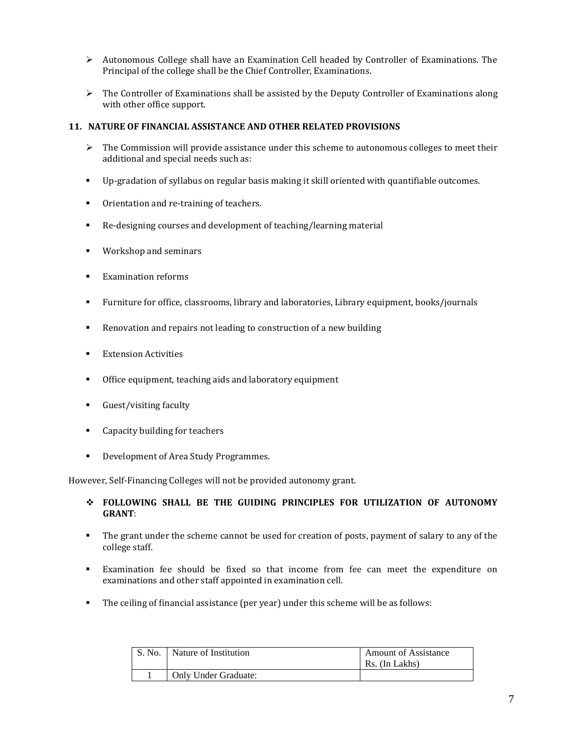- $\triangleright$  Autonomous College shall have an Examination Cell headed by Controller of Examinations. The Principal of the college shall be the Chief Controller, Examinations.
- $\triangleright$  The Controller of Examinations shall be assisted by the Deputy Controller of Examinations along with other office support.

#### **11. NATURE OF FINANCIAL ASSISTANCE AND OTHER RELATED PROVISIONS**

- $\triangleright$  The Commission will provide assistance under this scheme to autonomous colleges to meet their additional and special needs such as:
- Up-gradation of syllabus on regular basis making it skill oriented with quantifiable outcomes.
- Orientation and re-training of teachers.
- Re-designing courses and development of teaching/learning material
- **Workshop and seminars**
- **Examination reforms**
- Furniture for office, classrooms, library and laboratories, Library equipment, books/journals
- Renovation and repairs not leading to construction of a new building
- **Extension Activities**
- **•** Office equipment, teaching aids and laboratory equipment
- Guest/visiting faculty
- Capacity building for teachers
- Development of Area Study Programmes.

However, Self-Financing Colleges will not be provided autonomy grant.

- **FOLLOWING SHALL BE THE GUIDING PRINCIPLES FOR UTILIZATION OF AUTONOMY GRANT**:
- The grant under the scheme cannot be used for creation of posts, payment of salary to any of the college staff.
- Examination fee should be fixed so that income from fee can meet the expenditure on examinations and other staff appointed in examination cell.
- The ceiling of financial assistance (per year) under this scheme will be as follows:

| $\mathsf{S}$ . No. | Nature of Institution | <b>Amount of Assistance</b><br>Rs. (In Lakhs) |
|--------------------|-----------------------|-----------------------------------------------|
|                    | Only Under Graduate:  |                                               |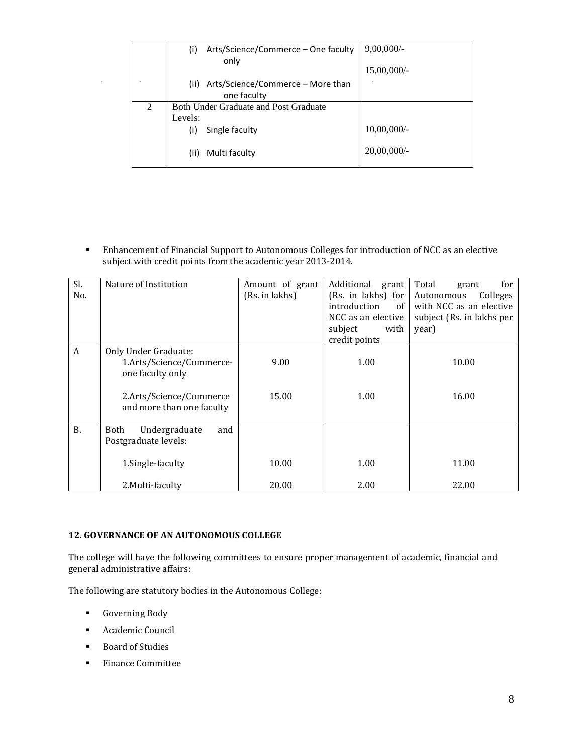|   | Arts/Science/Commerce – One faculty<br>(i)<br>only | $9,00,000/$ -  |
|---|----------------------------------------------------|----------------|
|   |                                                    | $15,00,000/$ - |
|   | Arts/Science/Commerce – More than<br>(ii)          |                |
|   | one faculty                                        |                |
| 2 | <b>Both Under Graduate and Post Graduate</b>       |                |
|   | Levels:                                            |                |
|   | Single faculty<br>(i)                              | $10,00,000/$ - |
|   | Multi faculty<br>(ii)                              | $20,00,000/$ - |

 Enhancement of Financial Support to Autonomous Colleges for introduction of NCC as an elective subject with credit points from the academic year 2013-2014.

| Sl.<br>No. | Nature of Institution                                                | Amount of grant<br>(Rs. in lakhs) | Additional<br>grant<br>(Rs. in lakhs) for<br>introduction<br>of<br>NCC as an elective<br>subject<br>with<br>credit points | Total<br>for<br>grant<br>Colleges<br>Autonomous<br>with NCC as an elective<br>subject (Rs. in lakhs per<br>year) |  |  |  |
|------------|----------------------------------------------------------------------|-----------------------------------|---------------------------------------------------------------------------------------------------------------------------|------------------------------------------------------------------------------------------------------------------|--|--|--|
| A          | Only Under Graduate:<br>1.Arts/Science/Commerce-<br>one faculty only | 9.00                              | 1.00                                                                                                                      | 10.00                                                                                                            |  |  |  |
|            | 2.Arts/Science/Commerce<br>and more than one faculty                 | 15.00                             | 1.00                                                                                                                      | 16.00                                                                                                            |  |  |  |
| <b>B.</b>  | and<br>Undergraduate<br>Both<br>Postgraduate levels:                 |                                   |                                                                                                                           |                                                                                                                  |  |  |  |
|            | 1. Single-faculty                                                    | 10.00                             | 1.00                                                                                                                      | 11.00                                                                                                            |  |  |  |
|            | 2. Multi-faculty                                                     | 20.00                             | 2.00                                                                                                                      | 22.00                                                                                                            |  |  |  |

#### **12. GOVERNANCE OF AN AUTONOMOUS COLLEGE**

The college will have the following committees to ensure proper management of academic, financial and general administrative affairs:

The following are statutory bodies in the Autonomous College:

- **Governing Body**
- Academic Council
- Board of Studies
- **Finance Committee**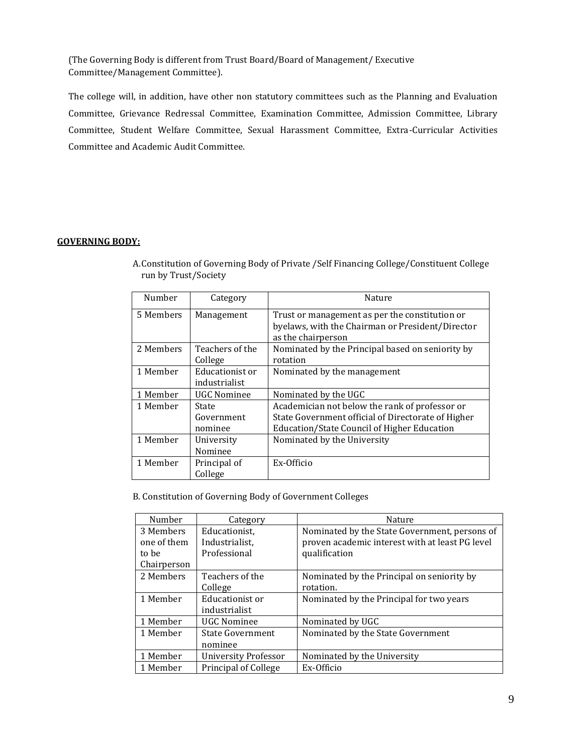(The Governing Body is different from Trust Board/Board of Management/ Executive Committee/Management Committee).

The college will, in addition, have other non statutory committees such as the Planning and Evaluation Committee, Grievance Redressal Committee, Examination Committee, Admission Committee, Library Committee, Student Welfare Committee, Sexual Harassment Committee, Extra-Curricular Activities Committee and Academic Audit Committee.

#### **GOVERNING BODY:**

| Number    | Category           | Nature                                             |  |  |  |  |  |
|-----------|--------------------|----------------------------------------------------|--|--|--|--|--|
|           |                    |                                                    |  |  |  |  |  |
| 5 Members | Management         | Trust or management as per the constitution or     |  |  |  |  |  |
|           |                    | byelaws, with the Chairman or President/Director   |  |  |  |  |  |
|           |                    | as the chairperson                                 |  |  |  |  |  |
| 2 Members | Teachers of the    | Nominated by the Principal based on seniority by   |  |  |  |  |  |
|           | College            | rotation                                           |  |  |  |  |  |
| 1 Member  | Educationist or    | Nominated by the management                        |  |  |  |  |  |
|           | industrialist      |                                                    |  |  |  |  |  |
| 1 Member  | <b>UGC Nominee</b> | Nominated by the UGC                               |  |  |  |  |  |
| 1 Member  | State              | Academician not below the rank of professor or     |  |  |  |  |  |
|           | Government         | State Government official of Directorate of Higher |  |  |  |  |  |
|           | nominee            | Education/State Council of Higher Education        |  |  |  |  |  |
| 1 Member  | University         | Nominated by the University                        |  |  |  |  |  |
|           | Nominee            |                                                    |  |  |  |  |  |
| 1 Member  | Principal of       | Ex-Officio                                         |  |  |  |  |  |
|           | College            |                                                    |  |  |  |  |  |

A.Constitution of Governing Body of Private /Self Financing College/Constituent College run by Trust/Society

B. Constitution of Governing Body of Government Colleges

| Number      | Category                    | Nature                                          |
|-------------|-----------------------------|-------------------------------------------------|
| 3 Members   | Educationist,               | Nominated by the State Government, persons of   |
| one of them | Industrialist.              | proven academic interest with at least PG level |
| to be       | Professional                | qualification                                   |
| Chairperson |                             |                                                 |
| 2 Members   | Teachers of the             | Nominated by the Principal on seniority by      |
|             | College                     | rotation.                                       |
| 1 Member    | Educationist or             | Nominated by the Principal for two years        |
|             | industrialist               |                                                 |
| 1 Member    | UGC Nominee                 | Nominated by UGC                                |
| 1 Member    | <b>State Government</b>     | Nominated by the State Government               |
|             | nominee                     |                                                 |
| 1 Member    | <b>University Professor</b> | Nominated by the University                     |
| 1 Member    | Principal of College        | Ex-Officio                                      |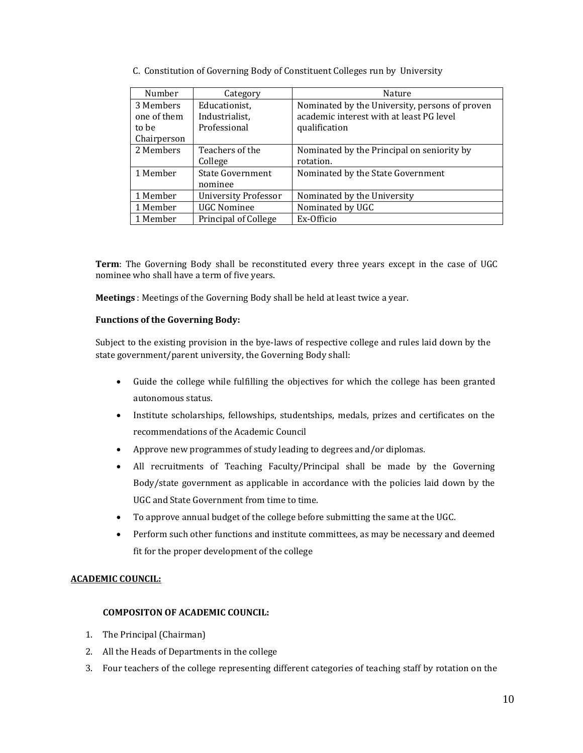C. Constitution of Governing Body of Constituent Colleges run by University

| Number      | Category                    | <b>Nature</b>                                  |
|-------------|-----------------------------|------------------------------------------------|
| 3 Members   | Educationist,               | Nominated by the University, persons of proven |
| one of them | Industrialist,              | academic interest with at least PG level       |
| to be       | Professional                | qualification                                  |
| Chairperson |                             |                                                |
| 2 Members   | Teachers of the             | Nominated by the Principal on seniority by     |
|             | College                     | rotation.                                      |
| 1 Member    | <b>State Government</b>     | Nominated by the State Government              |
|             | nominee                     |                                                |
| 1 Member    | <b>University Professor</b> | Nominated by the University                    |
| 1 Member    | <b>UGC Nominee</b>          | Nominated by UGC                               |
| 1 Member    | Principal of College        | Ex-Officio                                     |

**Term**: The Governing Body shall be reconstituted every three years except in the case of UGC nominee who shall have a term of five years.

**Meetings** : Meetings of the Governing Body shall be held at least twice a year.

#### **Functions of the Governing Body:**

Subject to the existing provision in the bye-laws of respective college and rules laid down by the state government/parent university, the Governing Body shall:

- Guide the college while fulfilling the objectives for which the college has been granted autonomous status.
- Institute scholarships, fellowships, studentships, medals, prizes and certificates on the recommendations of the Academic Council
- Approve new programmes of study leading to degrees and/or diplomas.
- All recruitments of Teaching Faculty/Principal shall be made by the Governing Body/state government as applicable in accordance with the policies laid down by the UGC and State Government from time to time.
- To approve annual budget of the college before submitting the same at the UGC.
- Perform such other functions and institute committees, as may be necessary and deemed fit for the proper development of the college

# **ACADEMIC COUNCIL:**

# **COMPOSITON OF ACADEMIC COUNCIL:**

- 1. The Principal (Chairman)
- 2. All the Heads of Departments in the college
- 3. Four teachers of the college representing different categories of teaching staff by rotation on the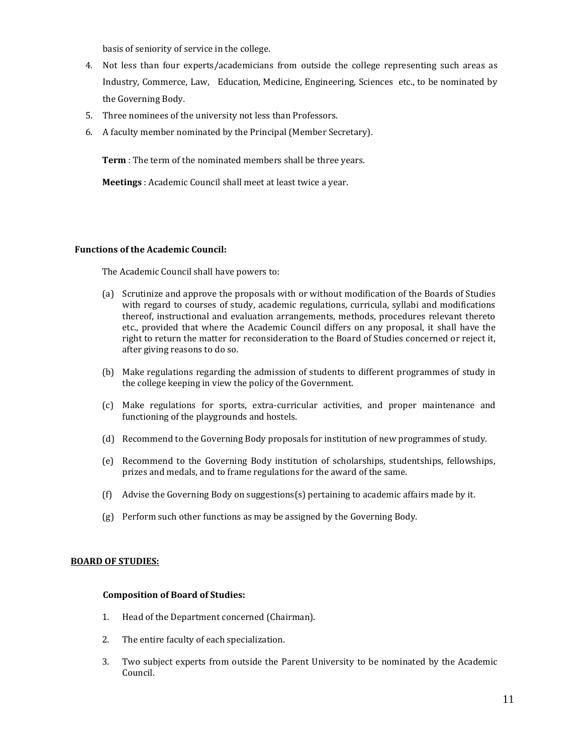basis of seniority of service in the college.

- 4. Not less than four experts/academicians from outside the college representing such areas as Industry, Commerce, Law, Education, Medicine, Engineering, Sciences etc., to be nominated by the Governing Body.
- 5. Three nominees of the university not less than Professors.
- 6. A faculty member nominated by the Principal (Member Secretary).

**Term** : The term of the nominated members shall be three years.

**Meetings** : Academic Council shall meet at least twice a year.

#### **Functions of the Academic Council:**

The Academic Council shall have powers to:

- (a) Scrutinize and approve the proposals with or without modification of the Boards of Studies with regard to courses of study, academic regulations, curricula, syllabi and modifications thereof, instructional and evaluation arrangements, methods, procedures relevant thereto etc., provided that where the Academic Council differs on any proposal, it shall have the right to return the matter for reconsideration to the Board of Studies concerned or reject it, after giving reasons to do so.
- (b) Make regulations regarding the admission of students to different programmes of study in the college keeping in view the policy of the Government.
- (c) Make regulations for sports, extra-curricular activities, and proper maintenance and functioning of the playgrounds and hostels.
- (d) Recommend to the Governing Body proposals for institution of new programmes of study.
- (e) Recommend to the Governing Body institution of scholarships, studentships, fellowships, prizes and medals, and to frame regulations for the award of the same.
- (f) Advise the Governing Body on suggestions(s) pertaining to academic affairs made by it.
- (g) Perform such other functions as may be assigned by the Governing Body.

#### **BOARD OF STUDIES:**

#### **Composition of Board of Studies:**

- 1. Head of the Department concerned (Chairman).
- 2. The entire faculty of each specialization.
- 3. Two subject experts from outside the Parent University to be nominated by the Academic Council.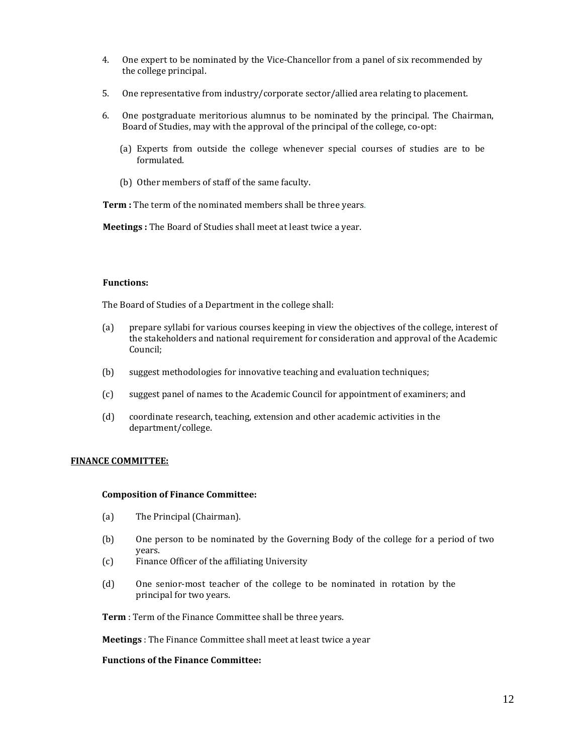- 4. One expert to be nominated by the Vice-Chancellor from a panel of six recommended by the college principal.
- 5. One representative from industry/corporate sector/allied area relating to placement.
- 6. One postgraduate meritorious alumnus to be nominated by the principal. The Chairman, Board of Studies, may with the approval of the principal of the college, co-opt:
	- (a) Experts from outside the college whenever special courses of studies are to be formulated.
	- (b) Other members of staff of the same faculty.

**Term :** The term of the nominated members shall be three years.

**Meetings :** The Board of Studies shall meet at least twice a year.

#### **Functions:**

The Board of Studies of a Department in the college shall:

- (a) prepare syllabi for various courses keeping in view the objectives of the college, interest of the stakeholders and national requirement for consideration and approval of the Academic Council;
- (b) suggest methodologies for innovative teaching and evaluation techniques;
- (c) suggest panel of names to the Academic Council for appointment of examiners; and
- (d) coordinate research, teaching, extension and other academic activities in the department/college.

#### **FINANCE COMMITTEE:**

#### **Composition of Finance Committee:**

- (a) The Principal (Chairman).
- (b) One person to be nominated by the Governing Body of the college for a period of two years.
- (c) Finance Officer of the affiliating University
- (d) One senior-most teacher of the college to be nominated in rotation by the principal for two years.

**Term** : Term of the Finance Committee shall be three years.

**Meetings** : The Finance Committee shall meet at least twice a year

#### **Functions of the Finance Committee:**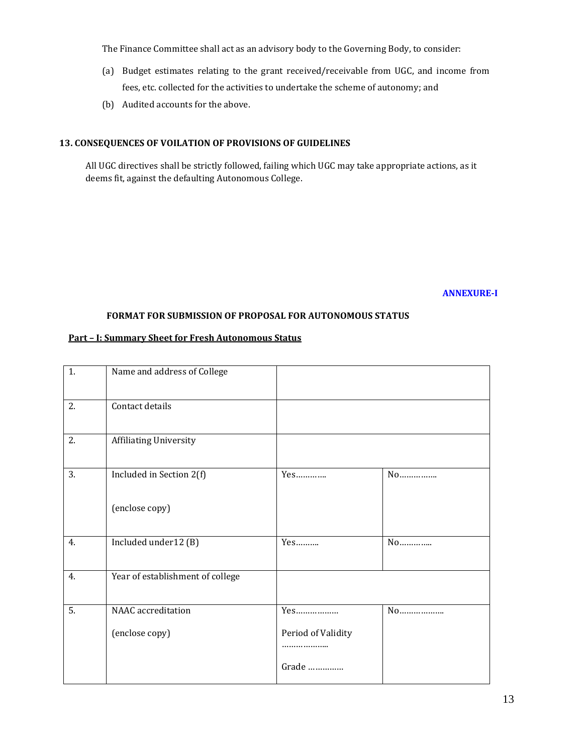The Finance Committee shall act as an advisory body to the Governing Body, to consider:

- (a) Budget estimates relating to the grant received/receivable from UGC, and income from fees, etc. collected for the activities to undertake the scheme of autonomy; and
- (b) Audited accounts for the above.

#### **13. CONSEQUENCES OF VOILATION OF PROVISIONS OF GUIDELINES**

All UGC directives shall be strictly followed, failing which UGC may take appropriate actions, as it deems fit, against the defaulting Autonomous College.

#### **ANNEXURE-I**

#### **FORMAT FOR SUBMISSION OF PROPOSAL FOR AUTONOMOUS STATUS**

#### **Part – I: Summary Sheet for Fresh Autonomous Status**

| 1.               | Name and address of College      |                        |    |
|------------------|----------------------------------|------------------------|----|
| 2.               | Contact details                  |                        |    |
| 2.               | <b>Affiliating University</b>    |                        |    |
| 3.               | Included in Section 2(f)         |                        | No |
|                  | (enclose copy)                   |                        |    |
| 4.               | Included under12 (B)             | $Yes$                  | No |
| 4.               | Year of establishment of college |                        |    |
| $\overline{5}$ . | NAAC accreditation               | Yes                    | No |
|                  | (enclose copy)                   | Period of Validity<br> |    |
|                  |                                  | Grade                  |    |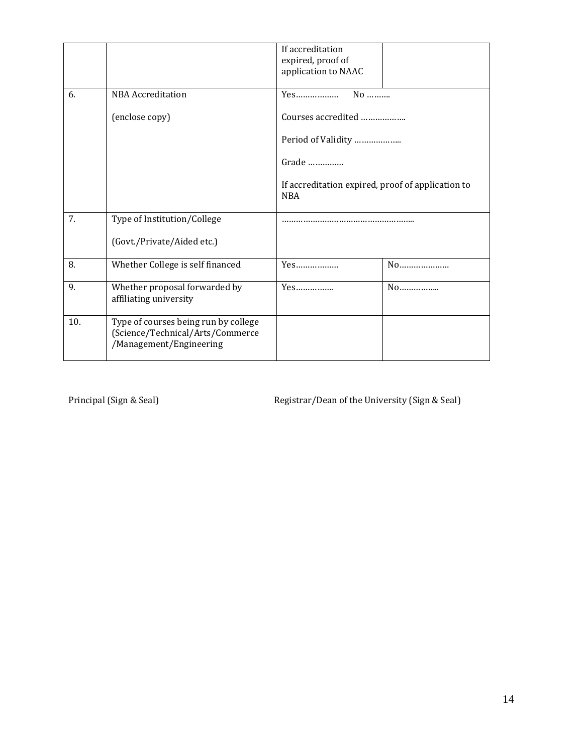|     |                                                                                                     | If accreditation<br>expired, proof of<br>application to NAAC    |
|-----|-----------------------------------------------------------------------------------------------------|-----------------------------------------------------------------|
| 6.  | <b>NBA</b> Accreditation                                                                            | $No$<br>Yes                                                     |
|     | (enclose copy)                                                                                      | Courses accredited                                              |
|     |                                                                                                     | Period of Validity                                              |
|     |                                                                                                     | Grade                                                           |
|     |                                                                                                     | If accreditation expired, proof of application to<br><b>NBA</b> |
| 7.  | Type of Institution/College                                                                         |                                                                 |
|     | (Govt./Private/Aided etc.)                                                                          |                                                                 |
| 8.  | Whether College is self financed                                                                    | Yes                                                             |
| 9.  | Whether proposal forwarded by<br>affiliating university                                             | No                                                              |
| 10. | Type of courses being run by college<br>(Science/Technical/Arts/Commerce<br>/Management/Engineering |                                                                 |

Principal (Sign & Seal) Registrar/Dean of the University (Sign & Seal)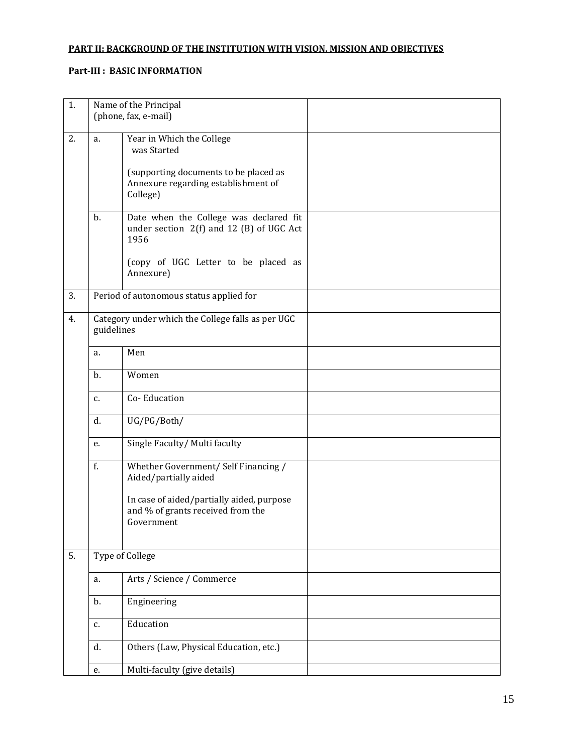# **PART II: BACKGROUND OF THE INSTITUTION WITH VISION, MISSION AND OBJECTIVES**

# **Part-III : BASIC INFORMATION**

| 1. |            | Name of the Principal                                                                                                    |  |
|----|------------|--------------------------------------------------------------------------------------------------------------------------|--|
|    |            | (phone, fax, e-mail)                                                                                                     |  |
| 2. | a.         | Year in Which the College<br>was Started<br>(supporting documents to be placed as<br>Annexure regarding establishment of |  |
|    | b.         | College)<br>Date when the College was declared fit                                                                       |  |
|    |            | under section $2(f)$ and 12 (B) of UGC Act<br>1956<br>(copy of UGC Letter to be placed as                                |  |
|    |            | Annexure)                                                                                                                |  |
| 3. |            | Period of autonomous status applied for                                                                                  |  |
| 4. | guidelines | Category under which the College falls as per UGC                                                                        |  |
|    | a.         | Men                                                                                                                      |  |
|    | b.         | Women                                                                                                                    |  |
|    | c.         | Co-Education                                                                                                             |  |
|    | d.         | UG/PG/Both/                                                                                                              |  |
|    | e.         | Single Faculty/ Multi faculty                                                                                            |  |
|    | f.         | Whether Government/ Self Financing /<br>Aided/partially aided                                                            |  |
|    |            | In case of aided/partially aided, purpose<br>and % of grants received from the<br>Government                             |  |
| 5. |            | Type of College                                                                                                          |  |
|    | a.         | Arts / Science / Commerce                                                                                                |  |
|    | b.         | Engineering                                                                                                              |  |
|    | c.         | Education                                                                                                                |  |
|    | d.         | Others (Law, Physical Education, etc.)                                                                                   |  |
|    | e.         | Multi-faculty (give details)                                                                                             |  |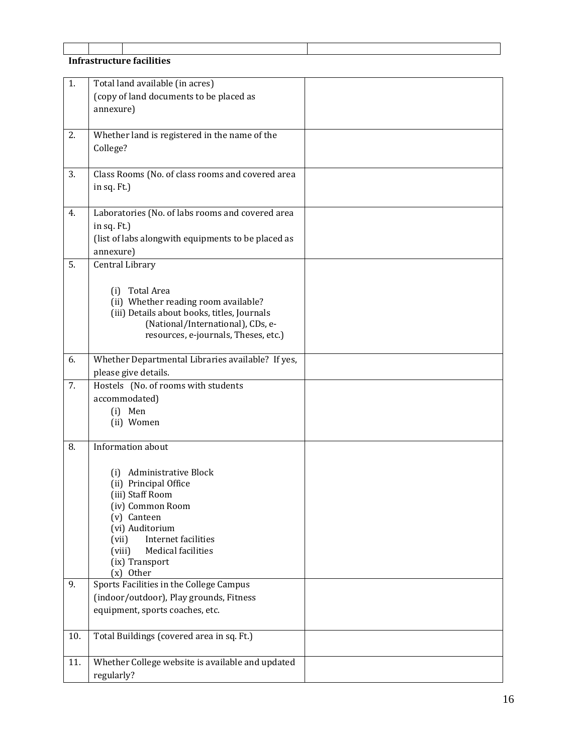# **Infrastructure facilities**

| 1.  | Total land available (in acres)                    |  |
|-----|----------------------------------------------------|--|
|     | (copy of land documents to be placed as            |  |
|     | annexure)                                          |  |
|     |                                                    |  |
| 2.  | Whether land is registered in the name of the      |  |
|     | College?                                           |  |
|     |                                                    |  |
| 3.  | Class Rooms (No. of class rooms and covered area   |  |
|     | in sq. Ft.)                                        |  |
|     |                                                    |  |
| 4.  | Laboratories (No. of labs rooms and covered area   |  |
|     | in sq. Ft.)                                        |  |
|     | (list of labs alongwith equipments to be placed as |  |
|     | annexure)                                          |  |
| 5.  | Central Library                                    |  |
|     |                                                    |  |
|     | Total Area<br>(i)                                  |  |
|     | (ii) Whether reading room available?               |  |
|     | (iii) Details about books, titles, Journals        |  |
|     | (National/International), CDs, e-                  |  |
|     | resources, e-journals, Theses, etc.)               |  |
| 6.  | Whether Departmental Libraries available? If yes,  |  |
|     | please give details.                               |  |
| 7.  | Hostels (No. of rooms with students                |  |
|     | accommodated)                                      |  |
|     | (i) Men                                            |  |
|     | (ii) Women                                         |  |
|     |                                                    |  |
| 8.  | Information about                                  |  |
|     |                                                    |  |
|     | <b>Administrative Block</b><br>(i)                 |  |
|     | (ii) Principal Office                              |  |
|     | (iii) Staff Room                                   |  |
|     | (iv) Common Room                                   |  |
|     | (v) Canteen<br>(vi) Auditorium                     |  |
|     | Internet facilities<br>(vii)                       |  |
|     | Medical facilities<br>(viii)                       |  |
|     | (ix) Transport                                     |  |
|     | (x) Other                                          |  |
| 9.  | Sports Facilities in the College Campus            |  |
|     | (indoor/outdoor), Play grounds, Fitness            |  |
|     | equipment, sports coaches, etc.                    |  |
|     |                                                    |  |
| 10. | Total Buildings (covered area in sq. Ft.)          |  |
|     |                                                    |  |
| 11. | Whether College website is available and updated   |  |
|     | regularly?                                         |  |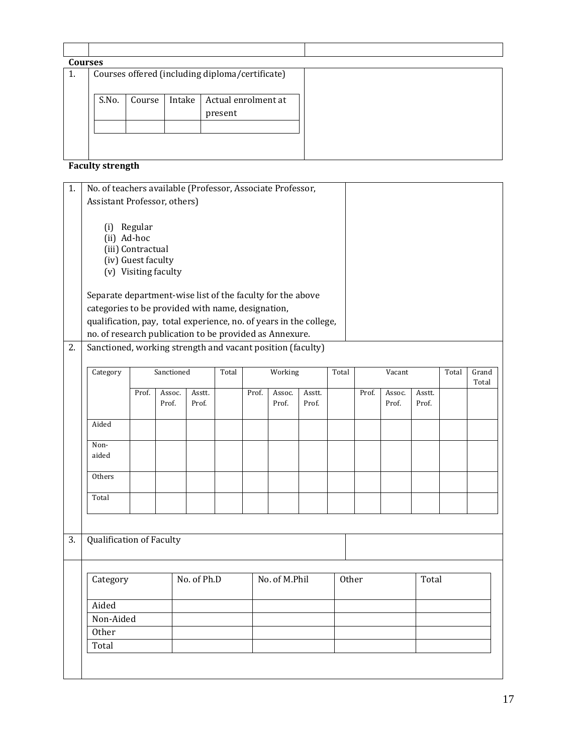| <b>Courses</b> |       |        |        |                                                 |  |
|----------------|-------|--------|--------|-------------------------------------------------|--|
| 1.             |       |        |        | Courses offered (including diploma/certificate) |  |
|                | S.No. | Course | Intake | Actual enrolment at<br>present                  |  |
|                |       |        |        |                                                 |  |

# **Faculty strength**

| 1. |                                                                    | No. of teachers available (Professor, Associate Professor, |                      |        |  |       |        |        |        |       |        |        |  |       |
|----|--------------------------------------------------------------------|------------------------------------------------------------|----------------------|--------|--|-------|--------|--------|--------|-------|--------|--------|--|-------|
|    | Assistant Professor, others)                                       |                                                            |                      |        |  |       |        |        |        |       |        |        |  |       |
|    |                                                                    |                                                            |                      |        |  |       |        |        |        |       |        |        |  |       |
|    | (i)                                                                | Regular                                                    |                      |        |  |       |        |        |        |       |        |        |  |       |
|    | (ii) Ad-hoc                                                        |                                                            |                      |        |  |       |        |        |        |       |        |        |  |       |
|    |                                                                    | (iii) Contractual                                          |                      |        |  |       |        |        |        |       |        |        |  |       |
|    |                                                                    | (iv) Guest faculty                                         |                      |        |  |       |        |        |        |       |        |        |  |       |
|    |                                                                    |                                                            | (v) Visiting faculty |        |  |       |        |        |        |       |        |        |  |       |
|    |                                                                    |                                                            |                      |        |  |       |        |        |        |       |        |        |  |       |
|    | Separate department-wise list of the faculty for the above         |                                                            |                      |        |  |       |        |        |        |       |        |        |  |       |
|    | categories to be provided with name, designation,                  |                                                            |                      |        |  |       |        |        |        |       |        |        |  |       |
|    | qualification, pay, total experience, no. of years in the college, |                                                            |                      |        |  |       |        |        |        |       |        |        |  |       |
|    | no. of research publication to be provided as Annexure.            |                                                            |                      |        |  |       |        |        |        |       |        |        |  |       |
| 2. | Sanctioned, working strength and vacant position (faculty)         |                                                            |                      |        |  |       |        |        |        |       |        |        |  |       |
|    |                                                                    |                                                            |                      |        |  |       |        |        |        |       |        |        |  |       |
|    | Sanctioned<br>Total<br>Working<br>Category                         |                                                            |                      |        |  |       | Total  |        | Vacant |       | Total  | Grand  |  |       |
|    |                                                                    |                                                            |                      |        |  |       |        |        |        |       |        |        |  | Total |
|    |                                                                    | Prof.                                                      | Assoc.               | Asstt. |  | Prof. | Assoc. | Asstt. |        | Prof. | Assoc. | Asstt. |  |       |
|    |                                                                    |                                                            | Prof.                | Prof.  |  |       | Prof.  | Prof.  |        |       | Prof.  | Prof.  |  |       |

|    |                          | Prof. | Prof.       |  | Prof.         | Prof. |       | Prof. | Prof. |  |
|----|--------------------------|-------|-------------|--|---------------|-------|-------|-------|-------|--|
|    | Aided                    |       |             |  |               |       |       |       |       |  |
|    | Non-<br>aided            |       |             |  |               |       |       |       |       |  |
|    | Others                   |       |             |  |               |       |       |       |       |  |
|    | Total                    |       |             |  |               |       |       |       |       |  |
| 3. | Qualification of Faculty |       |             |  |               |       |       |       |       |  |
|    | Category                 |       | No. of Ph.D |  | No. of M.Phil |       | Other |       | Total |  |
|    | Aided                    |       |             |  |               |       |       |       |       |  |
|    | Non-Aided                |       |             |  |               |       |       |       |       |  |
|    | Other                    |       |             |  |               |       |       |       |       |  |
|    | Total                    |       |             |  |               |       |       |       |       |  |
|    |                          |       |             |  |               |       |       |       |       |  |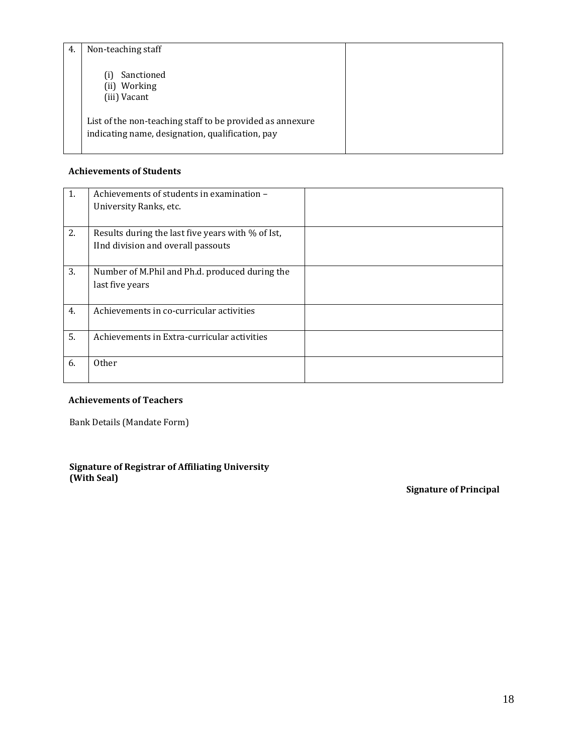| 4. | Non-teaching staff                                                                                                                                             |  |
|----|----------------------------------------------------------------------------------------------------------------------------------------------------------------|--|
|    | Sanctioned<br>Working<br>(ii)<br>(iii) Vacant<br>List of the non-teaching staff to be provided as annexure<br>indicating name, designation, qualification, pay |  |

# **Achievements of Students**

| 1. | Achievements of students in examination -<br>University Ranks, etc.                     |
|----|-----------------------------------------------------------------------------------------|
| 2. | Results during the last five years with % of Ist,<br>IInd division and overall passouts |
| 3. | Number of M.Phil and Ph.d. produced during the<br>last five years                       |
| 4. | Achievements in co-curricular activities                                                |
| 5. | Achievements in Extra-curricular activities                                             |
| 6. | Other                                                                                   |

# **Achievements of Teachers**

Bank Details (Mandate Form)

# **Signature of Registrar of Affiliating University (With Seal)**

 **Signature of Principal**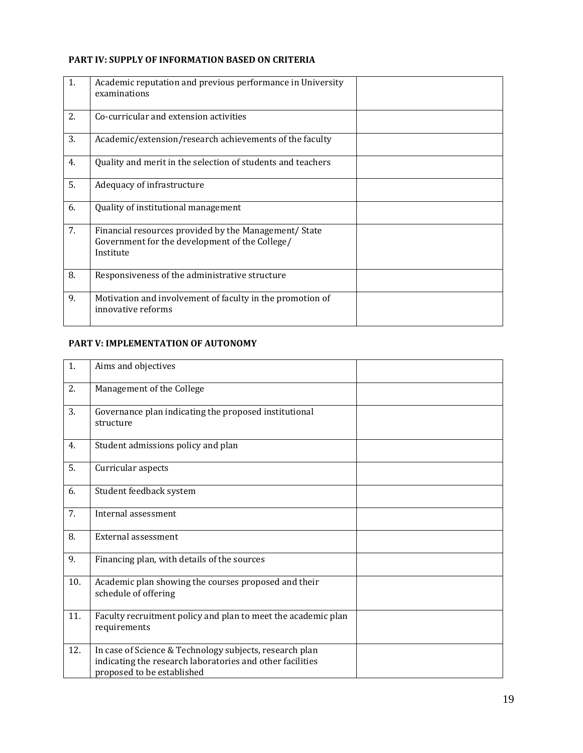# **PART IV: SUPPLY OF INFORMATION BASED ON CRITERIA**

| 1. | Academic reputation and previous performance in University<br>examinations                                           |  |
|----|----------------------------------------------------------------------------------------------------------------------|--|
| 2. | Co-curricular and extension activities                                                                               |  |
| 3. | Academic/extension/research achievements of the faculty                                                              |  |
| 4. | Quality and merit in the selection of students and teachers                                                          |  |
| 5. | Adequacy of infrastructure                                                                                           |  |
| 6. | Quality of institutional management                                                                                  |  |
| 7. | Financial resources provided by the Management/ State<br>Government for the development of the College/<br>Institute |  |
| 8. | Responsiveness of the administrative structure                                                                       |  |
| 9. | Motivation and involvement of faculty in the promotion of<br>innovative reforms                                      |  |

# **PART V: IMPLEMENTATION OF AUTONOMY**

| 1.  | Aims and objectives                                                                                                                                |  |
|-----|----------------------------------------------------------------------------------------------------------------------------------------------------|--|
| 2.  | Management of the College                                                                                                                          |  |
| 3.  | Governance plan indicating the proposed institutional<br>structure                                                                                 |  |
| 4.  | Student admissions policy and plan                                                                                                                 |  |
| 5.  | Curricular aspects                                                                                                                                 |  |
| 6.  | Student feedback system                                                                                                                            |  |
| 7.  | Internal assessment                                                                                                                                |  |
| 8.  | External assessment                                                                                                                                |  |
| 9.  | Financing plan, with details of the sources                                                                                                        |  |
| 10. | Academic plan showing the courses proposed and their<br>schedule of offering                                                                       |  |
| 11. | Faculty recruitment policy and plan to meet the academic plan<br>requirements                                                                      |  |
| 12. | In case of Science & Technology subjects, research plan<br>indicating the research laboratories and other facilities<br>proposed to be established |  |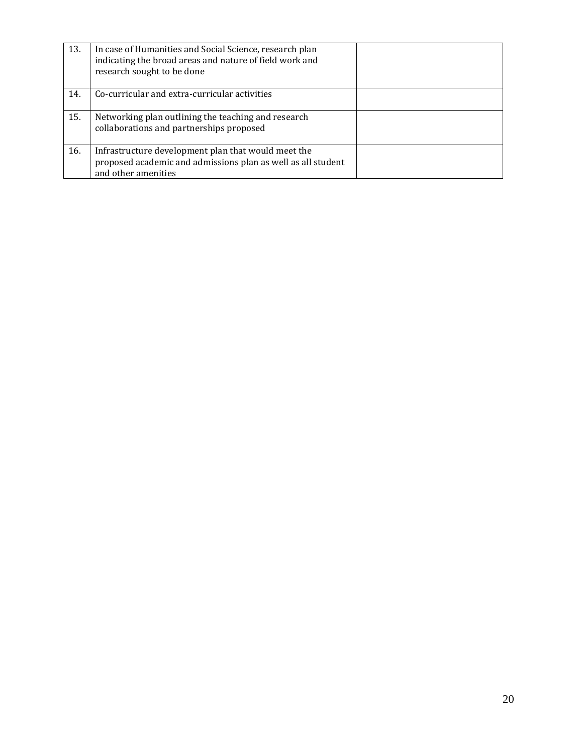| 13. | In case of Humanities and Social Science, research plan<br>indicating the broad areas and nature of field work and<br>research sought to be done |  |
|-----|--------------------------------------------------------------------------------------------------------------------------------------------------|--|
| 14. | Co-curricular and extra-curricular activities                                                                                                    |  |
| 15. | Networking plan outlining the teaching and research<br>collaborations and partnerships proposed                                                  |  |
| 16. | Infrastructure development plan that would meet the<br>proposed academic and admissions plan as well as all student<br>and other amenities       |  |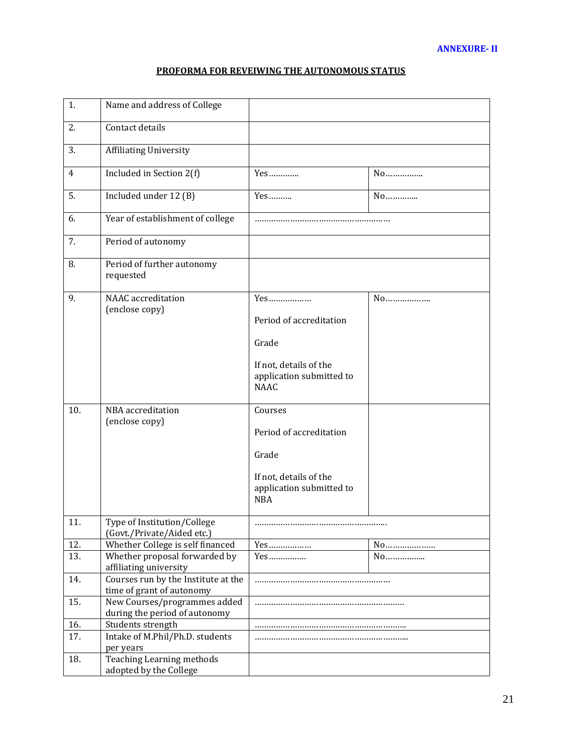# **PROFORMA FOR REVEIWING THE AUTONOMOUS STATUS**

| 1.             | Name and address of College                                      |                                                                                                                 |    |
|----------------|------------------------------------------------------------------|-----------------------------------------------------------------------------------------------------------------|----|
| 2.             | Contact details                                                  |                                                                                                                 |    |
| 3.             | <b>Affiliating University</b>                                    |                                                                                                                 |    |
| $\overline{4}$ | Included in Section 2(f)                                         | Yes                                                                                                             | No |
| 5.             | Included under 12 (B)                                            | Yes                                                                                                             | No |
| 6.             | Year of establishment of college                                 |                                                                                                                 |    |
| 7.             | Period of autonomy                                               |                                                                                                                 |    |
| 8.             | Period of further autonomy<br>requested                          |                                                                                                                 |    |
| 9.             | <b>NAAC</b> accreditation<br>(enclose copy)                      | Yes<br>Period of accreditation<br>Grade<br>If not, details of the<br>application submitted to<br><b>NAAC</b>    | No |
| 10.            | NBA accreditation<br>(enclose copy)                              | Courses<br>Period of accreditation<br>Grade<br>If not, details of the<br>application submitted to<br><b>NBA</b> |    |
| 11.            | Type of Institution/College<br>(Govt./Private/Aided etc.)        |                                                                                                                 |    |
| 12.            | Whether College is self financed                                 | Yes                                                                                                             |    |
| 13.            | Whether proposal forwarded by<br>affiliating university          |                                                                                                                 | No |
| 14.            | Courses run by the Institute at the<br>time of grant of autonomy |                                                                                                                 |    |
| 15.            | New Courses/programmes added<br>during the period of autonomy    |                                                                                                                 |    |
| 16.            | Students strength                                                |                                                                                                                 |    |
| 17.            | Intake of M.Phil/Ph.D. students<br>per years                     |                                                                                                                 |    |
| 18.            | <b>Teaching Learning methods</b><br>adopted by the College       |                                                                                                                 |    |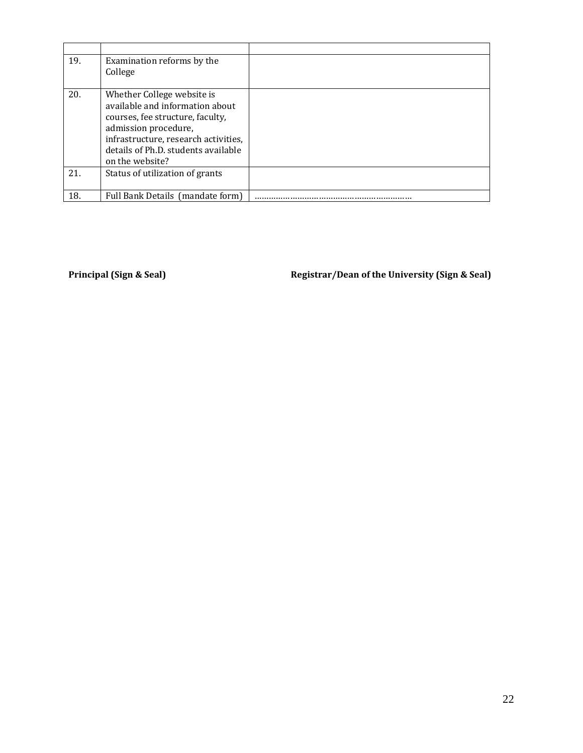| 19. | Examination reforms by the<br>College                                                                                                                                                                                       |  |
|-----|-----------------------------------------------------------------------------------------------------------------------------------------------------------------------------------------------------------------------------|--|
| 20. | Whether College website is<br>available and information about<br>courses, fee structure, faculty,<br>admission procedure,<br>infrastructure, research activities,<br>details of Ph.D. students available<br>on the website? |  |
| 21. | Status of utilization of grants                                                                                                                                                                                             |  |
| 18. | Full Bank Details (mandate form)                                                                                                                                                                                            |  |

Principal (Sign & Seal) **Registrar/Dean of the University (Sign & Seal)**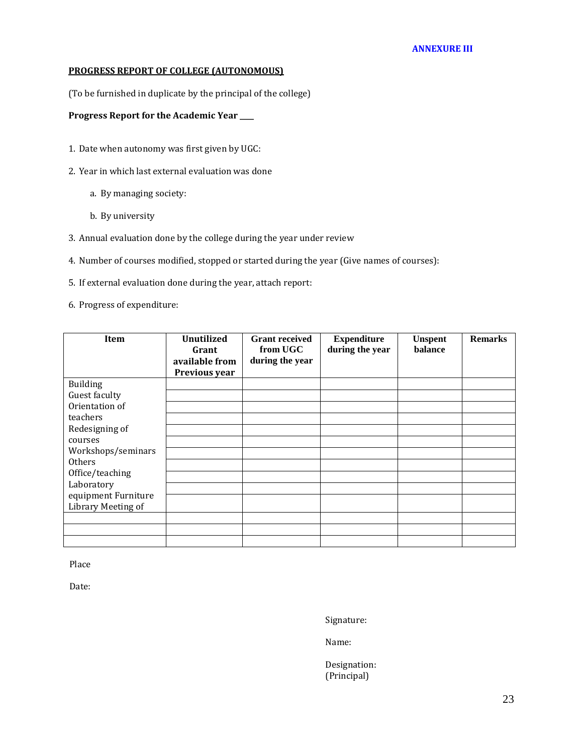# **PROGRESS REPORT OF COLLEGE (AUTONOMOUS)**

(To be furnished in duplicate by the principal of the college)

# **Progress Report for the Academic Year \_\_\_\_**

- 1. Date when autonomy was first given by UGC:
- 2. Year in which last external evaluation was done
	- a. By managing society:
	- b. By university
- 3. Annual evaluation done by the college during the year under review
- 4. Number of courses modified, stopped or started during the year (Give names of courses):
- 5. If external evaluation done during the year, attach report:
- 6. Progress of expenditure:

| Item                | <b>Unutilized</b> | <b>Grant received</b> | <b>Expenditure</b> | <b>Unspent</b> | <b>Remarks</b> |
|---------------------|-------------------|-----------------------|--------------------|----------------|----------------|
|                     | Grant             | from UGC              | during the year    | balance        |                |
|                     | available from    | during the year       |                    |                |                |
|                     | Previous year     |                       |                    |                |                |
| <b>Building</b>     |                   |                       |                    |                |                |
| Guest faculty       |                   |                       |                    |                |                |
| Orientation of      |                   |                       |                    |                |                |
| teachers            |                   |                       |                    |                |                |
| Redesigning of      |                   |                       |                    |                |                |
| courses             |                   |                       |                    |                |                |
| Workshops/seminars  |                   |                       |                    |                |                |
| <b>Others</b>       |                   |                       |                    |                |                |
| Office/teaching     |                   |                       |                    |                |                |
| Laboratory          |                   |                       |                    |                |                |
| equipment Furniture |                   |                       |                    |                |                |
| Library Meeting of  |                   |                       |                    |                |                |
|                     |                   |                       |                    |                |                |
|                     |                   |                       |                    |                |                |
|                     |                   |                       |                    |                |                |

Place

Date:

Signature:

Name:

Designation: (Principal)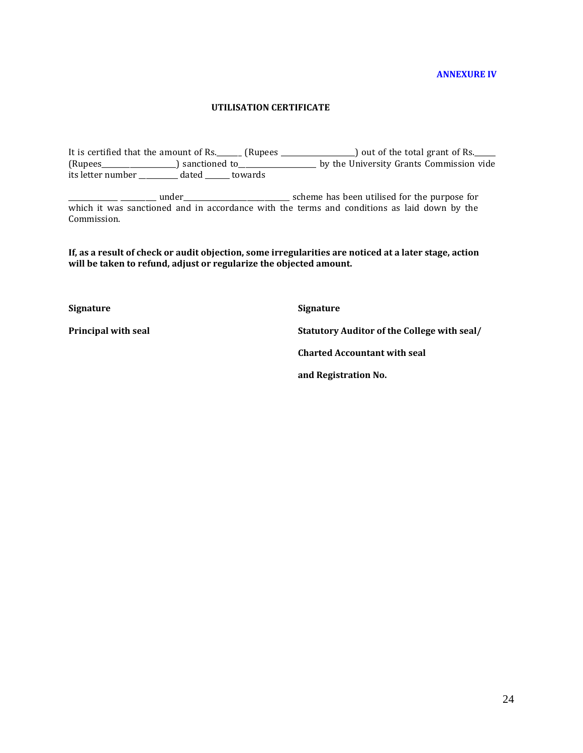#### **ANNEXURE IV**

#### **UTILISATION CERTIFICATE**

It is certified that the amount of Rs.\_\_\_\_\_\_ (Rupees \_\_\_\_\_\_\_\_\_\_\_\_\_\_\_\_) out of the total grant of Rs.\_\_\_\_\_ (Rupees\_\_\_\_\_\_\_\_\_\_\_\_\_\_\_\_\_\_\_\_\_) sanctioned to\_\_\_\_\_\_\_\_\_\_\_\_\_\_\_\_\_\_\_\_\_\_ by the University Grants Commission vide its letter number \_\_\_\_\_\_\_\_\_\_\_ dated \_\_\_\_\_\_\_ towards

\_\_\_\_\_\_\_\_\_\_\_\_\_\_ \_\_\_\_\_\_\_\_\_\_ under\_\_\_\_\_\_\_\_\_\_\_\_\_\_\_\_\_\_\_\_\_\_\_\_\_\_\_\_\_\_ scheme has been utilised for the purpose for which it was sanctioned and in accordance with the terms and conditions as laid down by the Commission.

**If, as a result of check or audit objection, some irregularities are noticed at a later stage, action will be taken to refund, adjust or regularize the objected amount.**

**Signature**

**Principal with seal**

**Signature Statutory Auditor of the College with seal/ Charted Accountant with seal and Registration No.**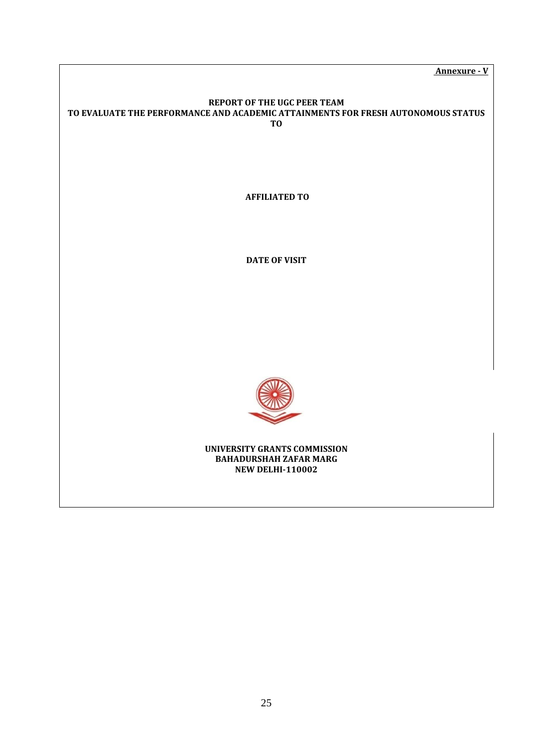**Annexure - V**

# **REPORT OF THE UGC PEER TEAM TO EVALUATE THE PERFORMANCE AND ACADEMIC ATTAINMENTS FOR FRESH AUTONOMOUS STATUS TO**

**AFFILIATED TO** 

**DATE OF VISIT** 



**UNIVERSITY GRANTS COMMISSION BAHADURSHAH ZAFAR MARG NEW DELHI-110002**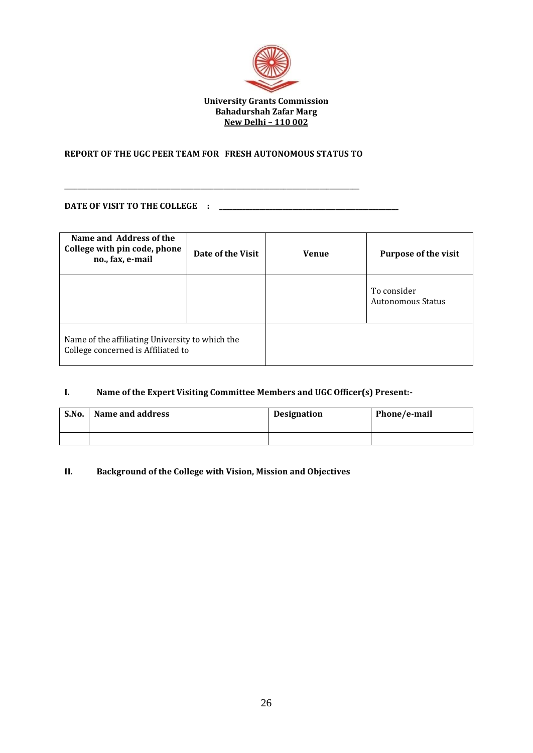

# **REPORT OF THE UGC PEER TEAM FOR FRESH AUTONOMOUS STATUS TO**

**\_\_\_\_\_\_\_\_\_\_\_\_\_\_\_\_\_\_\_\_\_\_\_\_\_\_\_\_\_\_\_\_\_\_\_\_\_\_\_\_\_\_\_\_\_\_\_\_\_\_\_\_\_\_\_\_\_\_\_\_\_\_\_\_\_\_\_\_\_\_\_\_\_\_\_\_\_\_\_\_\_\_\_\_\_\_\_\_\_** 

#### **DATE OF VISIT TO THE COLLEGE : \_\_\_\_\_\_\_\_\_\_\_\_\_\_\_\_\_\_\_\_\_\_\_\_\_\_\_\_\_\_\_\_\_\_\_\_\_\_\_\_\_\_\_\_\_\_\_\_\_\_\_\_\_\_**

| Name and Address of the<br>College with pin code, phone<br>no., fax, e-mail           | Date of the Visit | <b>Venue</b> | <b>Purpose of the visit</b>      |
|---------------------------------------------------------------------------------------|-------------------|--------------|----------------------------------|
|                                                                                       |                   |              | To consider<br>Autonomous Status |
| Name of the affiliating University to which the<br>College concerned is Affiliated to |                   |              |                                  |

# **I. Name of the Expert Visiting Committee Members and UGC Officer(s) Present:-**

| S.No. | Name and address | Designation | Phone/e-mail |
|-------|------------------|-------------|--------------|
|       |                  |             |              |

# **II. Background of the College with Vision, Mission and Objectives**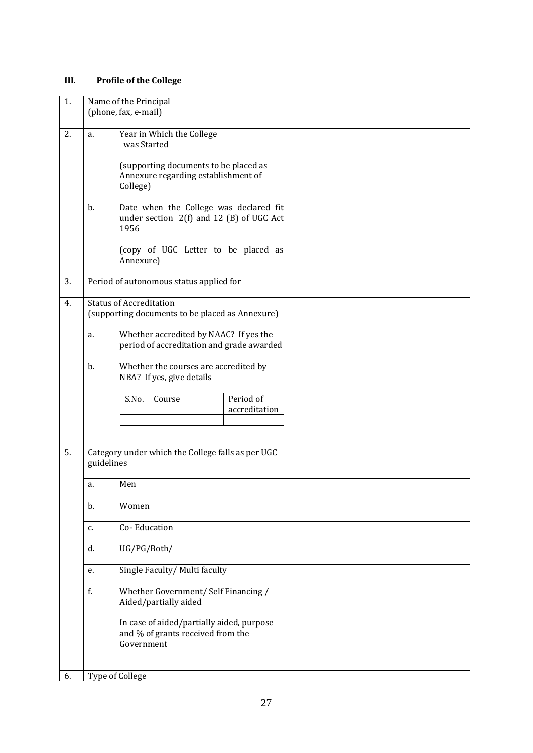# **III. Profile of the College**

| 1. |            | Name of the Principal                                                                                                                                         |  |
|----|------------|---------------------------------------------------------------------------------------------------------------------------------------------------------------|--|
|    |            | (phone, fax, e-mail)                                                                                                                                          |  |
| 2. | a.         | Year in Which the College<br>was Started<br>(supporting documents to be placed as<br>Annexure regarding establishment of<br>College)                          |  |
|    | $b$ .      | Date when the College was declared fit<br>under section 2(f) and 12 (B) of UGC Act<br>1956<br>(copy of UGC Letter to be placed as<br>Annexure)                |  |
| 3. |            | Period of autonomous status applied for                                                                                                                       |  |
| 4. |            | <b>Status of Accreditation</b><br>(supporting documents to be placed as Annexure)                                                                             |  |
|    | a.         | Whether accredited by NAAC? If yes the<br>period of accreditation and grade awarded                                                                           |  |
|    | b.         | Whether the courses are accredited by<br>NBA? If yes, give details<br>Period of<br>S.No.<br>Course<br>accreditation                                           |  |
| 5. | guidelines | Category under which the College falls as per UGC                                                                                                             |  |
|    | a.         | Men                                                                                                                                                           |  |
|    | b.         | Women                                                                                                                                                         |  |
|    | c.         | Co-Education                                                                                                                                                  |  |
|    | d.         | UG/PG/Both/                                                                                                                                                   |  |
|    | e.         | Single Faculty/ Multi faculty                                                                                                                                 |  |
|    | f.         | Whether Government/ Self Financing /<br>Aided/partially aided<br>In case of aided/partially aided, purpose<br>and % of grants received from the<br>Government |  |
| 6. |            | Type of College                                                                                                                                               |  |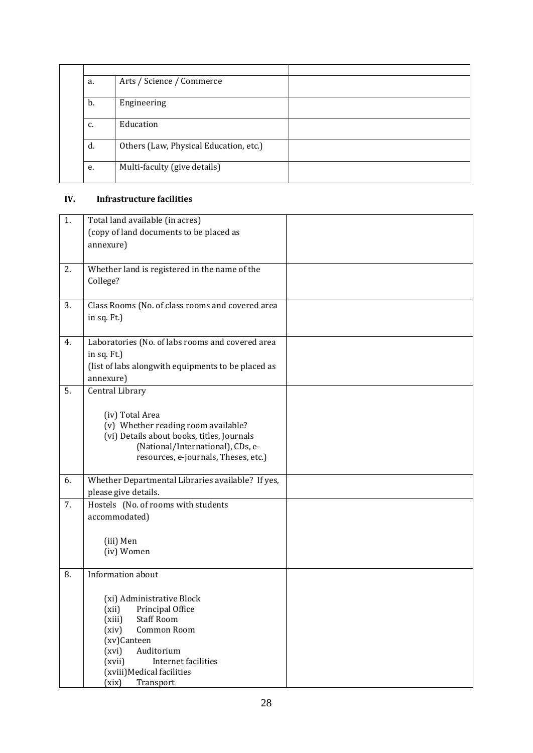| a. | Arts / Science / Commerce              |  |
|----|----------------------------------------|--|
| b. | Engineering                            |  |
| c. | Education                              |  |
| d. | Others (Law, Physical Education, etc.) |  |
| e. | Multi-faculty (give details)           |  |

# **IV. Infrastructure facilities**

| 1. | Total land available (in acres)                    |  |
|----|----------------------------------------------------|--|
|    | (copy of land documents to be placed as            |  |
|    | annexure)                                          |  |
|    |                                                    |  |
| 2. | Whether land is registered in the name of the      |  |
|    | College?                                           |  |
|    |                                                    |  |
|    |                                                    |  |
| 3. | Class Rooms (No. of class rooms and covered area   |  |
|    | in sq. Ft.)                                        |  |
|    |                                                    |  |
| 4. | Laboratories (No. of labs rooms and covered area   |  |
|    | in sq. Ft.)                                        |  |
|    | (list of labs alongwith equipments to be placed as |  |
|    |                                                    |  |
|    | annexure)                                          |  |
| 5. | Central Library                                    |  |
|    |                                                    |  |
|    | (iv) Total Area                                    |  |
|    | (v) Whether reading room available?                |  |
|    | (vi) Details about books, titles, Journals         |  |
|    | (National/International), CDs, e-                  |  |
|    | resources, e-journals, Theses, etc.)               |  |
|    |                                                    |  |
| 6. | Whether Departmental Libraries available? If yes,  |  |
|    | please give details.                               |  |
| 7. | Hostels (No. of rooms with students                |  |
|    | accommodated)                                      |  |
|    |                                                    |  |
|    |                                                    |  |
|    | (iii) Men                                          |  |
|    | (iv) Women                                         |  |
|    |                                                    |  |
| 8. | Information about                                  |  |
|    |                                                    |  |
|    | (xi) Administrative Block                          |  |
|    | (xii)<br>Principal Office                          |  |
|    | <b>Staff Room</b><br>(xiii)                        |  |
|    | (xiv)<br>Common Room                               |  |
|    | (xv)Canteen                                        |  |
|    | (xvi)<br>Auditorium                                |  |
|    | Internet facilities<br>(xvii)                      |  |
|    | (xviii) Medical facilities                         |  |
|    | Transport<br>(xix)                                 |  |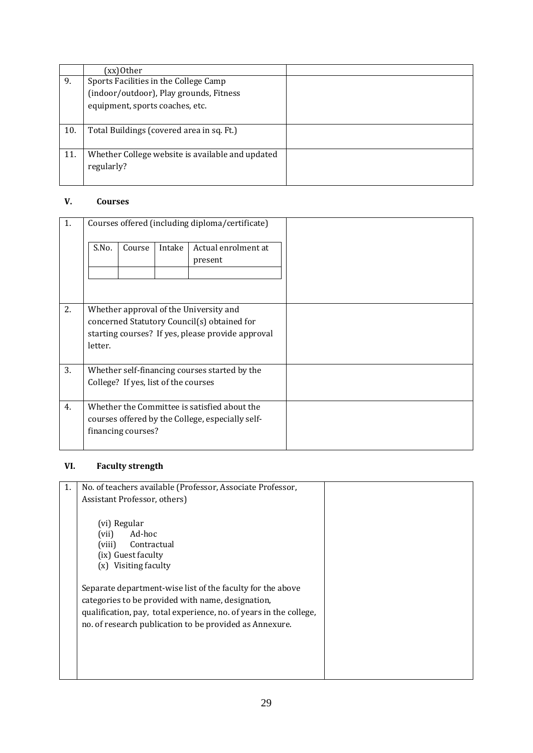|     | (xx)Other                                        |  |
|-----|--------------------------------------------------|--|
| 9.  | Sports Facilities in the College Camp            |  |
|     | (indoor/outdoor), Play grounds, Fitness          |  |
|     | equipment, sports coaches, etc.                  |  |
|     |                                                  |  |
| 10. | Total Buildings (covered area in sq. Ft.)        |  |
|     |                                                  |  |
| 11. | Whether College website is available and updated |  |
|     | regularly?                                       |  |
|     |                                                  |  |

# **V. Courses**

| 1. |         |                                      |        | Courses offered (including diploma/certificate)                                                                                            |  |
|----|---------|--------------------------------------|--------|--------------------------------------------------------------------------------------------------------------------------------------------|--|
|    | S.No.   | Course                               | Intake | Actual enrolment at<br>present                                                                                                             |  |
| 2. | letter. |                                      |        | Whether approval of the University and<br>concerned Statutory Council(s) obtained for<br>starting courses? If yes, please provide approval |  |
| 3. |         | College? If yes, list of the courses |        | Whether self-financing courses started by the                                                                                              |  |
| 4. |         | financing courses?                   |        | Whether the Committee is satisfied about the<br>courses offered by the College, especially self-                                           |  |

# **VI. Faculty strength**

| 1. | No. of teachers available (Professor, Associate Professor,                                                                                                                                                                                       |  |
|----|--------------------------------------------------------------------------------------------------------------------------------------------------------------------------------------------------------------------------------------------------|--|
|    | Assistant Professor, others)                                                                                                                                                                                                                     |  |
|    | (vi) Regular<br>Ad-hoc<br>(vii)<br>(viii)<br>Contractual<br>(ix) Guest faculty<br>(x) Visiting faculty                                                                                                                                           |  |
|    | Separate department-wise list of the faculty for the above<br>categories to be provided with name, designation,<br>qualification, pay, total experience, no. of years in the college,<br>no. of research publication to be provided as Annexure. |  |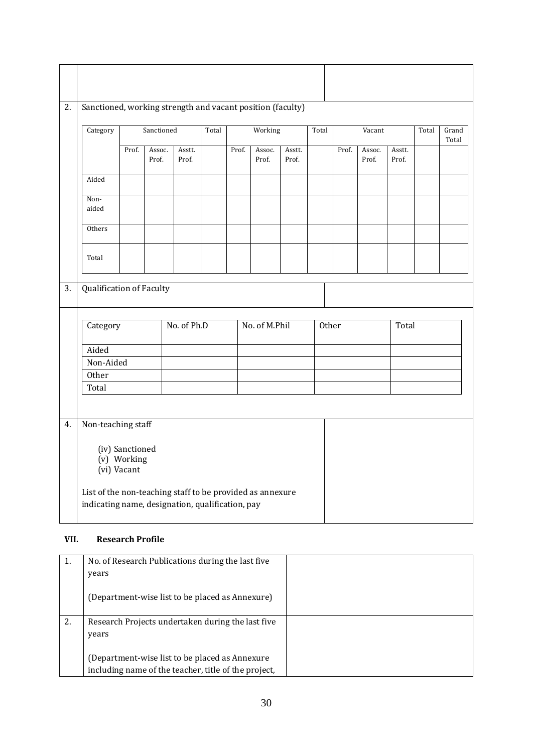| Category                          |       | Sanctioned      |                 | Total |       | Working         |                 | Total |       | Vacant          |                 | Total | Grand<br>Total |
|-----------------------------------|-------|-----------------|-----------------|-------|-------|-----------------|-----------------|-------|-------|-----------------|-----------------|-------|----------------|
|                                   | Prof. | Assoc.<br>Prof. | Asstt.<br>Prof. |       | Prof. | Assoc.<br>Prof. | Asstt.<br>Prof. |       | Prof. | Assoc.<br>Prof. | Asstt.<br>Prof. |       |                |
| Aided                             |       |                 |                 |       |       |                 |                 |       |       |                 |                 |       |                |
| Non-<br>aided                     |       |                 |                 |       |       |                 |                 |       |       |                 |                 |       |                |
| Others                            |       |                 |                 |       |       |                 |                 |       |       |                 |                 |       |                |
|                                   |       |                 |                 |       |       |                 |                 |       |       |                 |                 |       |                |
| Total<br>Qualification of Faculty |       |                 |                 |       |       |                 |                 |       |       |                 |                 |       |                |
| Category                          |       |                 | No. of Ph.D     |       |       | No. of M.Phil   |                 | Other |       |                 | Total           |       |                |
| Aided                             |       |                 |                 |       |       |                 |                 |       |       |                 |                 |       |                |
| Non-Aided<br>Other                |       |                 |                 |       |       |                 |                 |       |       |                 |                 |       |                |
| Total                             |       |                 |                 |       |       |                 |                 |       |       |                 |                 |       |                |
| Non-teaching staff                |       |                 |                 |       |       |                 |                 |       |       |                 |                 |       |                |

# **VII. Research Profile**

| 1. | No. of Research Publications during the last five    |  |
|----|------------------------------------------------------|--|
|    | years                                                |  |
|    | (Department-wise list to be placed as Annexure)      |  |
| 2. | Research Projects undertaken during the last five    |  |
|    | years                                                |  |
|    |                                                      |  |
|    | (Department-wise list to be placed as Annexure       |  |
|    | including name of the teacher, title of the project, |  |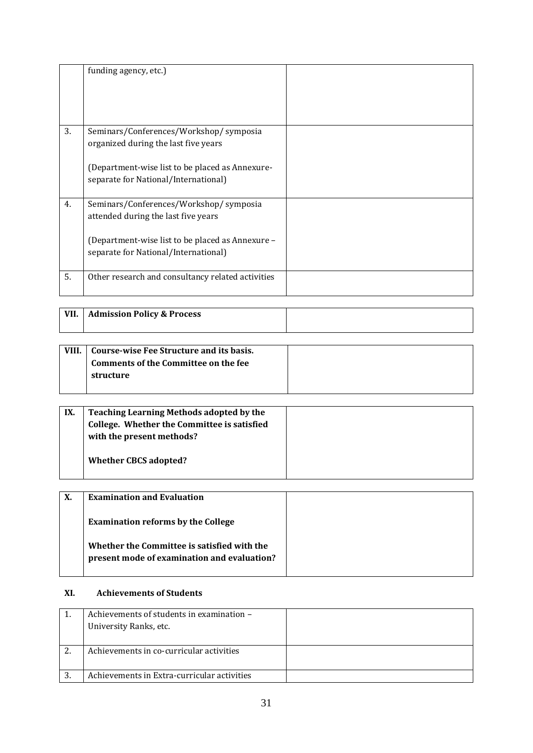|    | funding agency, etc.)                             |  |
|----|---------------------------------------------------|--|
| 3. | Seminars/Conferences/Workshop/ symposia           |  |
|    | organized during the last five years              |  |
|    | (Department-wise list to be placed as Annexure-   |  |
|    | separate for National/International)              |  |
|    |                                                   |  |
| 4. | Seminars/Conferences/Workshop/ symposia           |  |
|    | attended during the last five years               |  |
|    | (Department-wise list to be placed as Annexure -  |  |
|    | separate for National/International)              |  |
|    |                                                   |  |
| 5. | Other research and consultancy related activities |  |
|    |                                                   |  |

| VII. | <b>Admission Policy &amp; Process</b> |  |
|------|---------------------------------------|--|
|      |                                       |  |

| VIII. | Course-wise Fee Structure and its basis. |  |
|-------|------------------------------------------|--|
|       | Comments of the Committee on the fee     |  |
|       | structure                                |  |
|       |                                          |  |

| IX. | <b>Teaching Learning Methods adopted by the</b><br>College. Whether the Committee is satisfied<br>with the present methods? |  |
|-----|-----------------------------------------------------------------------------------------------------------------------------|--|
|     | <b>Whether CBCS adopted?</b>                                                                                                |  |

| Х. | <b>Examination and Evaluation</b>                                                          |  |
|----|--------------------------------------------------------------------------------------------|--|
|    | <b>Examination reforms by the College</b>                                                  |  |
|    | Whether the Committee is satisfied with the<br>present mode of examination and evaluation? |  |

# **XI. Achievements of Students**

|    | Achievements of students in examination -   |  |
|----|---------------------------------------------|--|
|    | University Ranks, etc.                      |  |
|    |                                             |  |
|    | Achievements in co-curricular activities    |  |
|    |                                             |  |
| 3. | Achievements in Extra-curricular activities |  |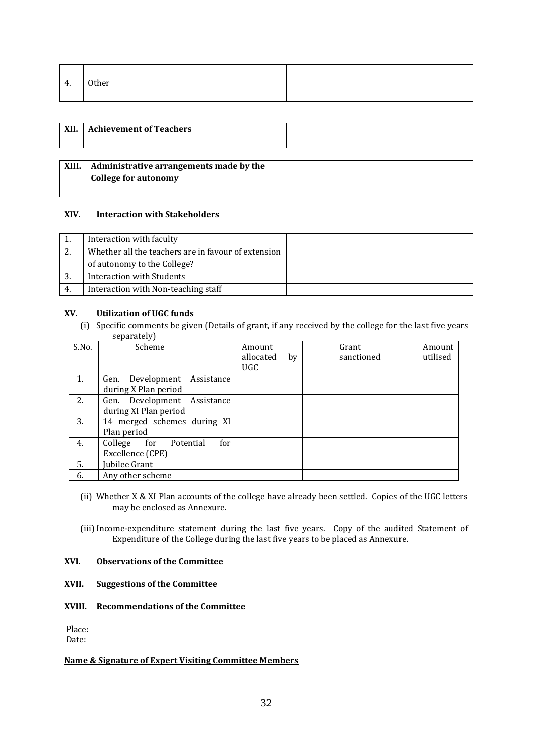| $\Lambda$<br>т. | Other |  |
|-----------------|-------|--|
|                 |       |  |

| XII.  | <b>Achievement of Teachers</b>                                         |  |
|-------|------------------------------------------------------------------------|--|
| XIII. | Administrative arrangements made by the<br><b>College for autonomy</b> |  |

# **XIV. Interaction with Stakeholders**

|     | Interaction with faculty                            |  |
|-----|-----------------------------------------------------|--|
|     | Whether all the teachers are in favour of extension |  |
|     | of autonomy to the College?                         |  |
| 3.  | Interaction with Students                           |  |
| -4. | Interaction with Non-teaching staff                 |  |

# **XV. Utilization of UGC funds**

(i) Specific comments be given (Details of grant, if any received by the college for the last five years separately)

| S.No. | Scheme                          | Amount          | Grant      | Amount   |
|-------|---------------------------------|-----------------|------------|----------|
|       |                                 | allocated<br>by | sanctioned | utilised |
|       |                                 | UGC.            |            |          |
| 1.    | Gen. Development<br>Assistance  |                 |            |          |
|       | during X Plan period            |                 |            |          |
| 2.    | Gen. Development Assistance     |                 |            |          |
|       | during XI Plan period           |                 |            |          |
| 3.    | 14 merged schemes during XI     |                 |            |          |
|       | Plan period                     |                 |            |          |
| 4.    | College<br>for Potential<br>for |                 |            |          |
|       | Excellence (CPE)                |                 |            |          |
| 5.    | Jubilee Grant                   |                 |            |          |
| 6.    | Any other scheme                |                 |            |          |

- (ii) Whether X & XI Plan accounts of the college have already been settled. Copies of the UGC letters may be enclosed as Annexure.
- (iii) Income-expenditure statement during the last five years. Copy of the audited Statement of Expenditure of the College during the last five years to be placed as Annexure.

# **XVI. Observations of the Committee**

# **XVII. Suggestions of the Committee**

# **XVIII. Recommendations of the Committee**

Place: Date:

#### **Name & Signature of Expert Visiting Committee Members**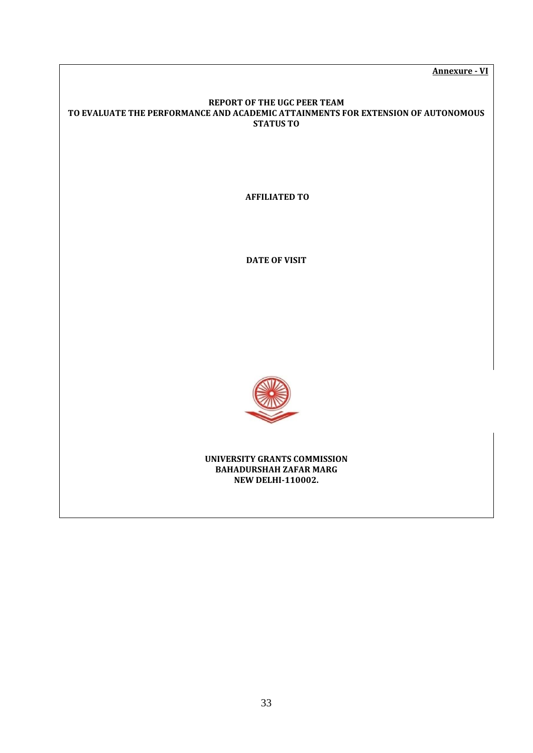**Annexure - VI**

#### **REPORT OF THE UGC PEER TEAM TO EVALUATE THE PERFORMANCE AND ACADEMIC ATTAINMENTS FOR EXTENSION OF AUTONOMOUS STATUS TO**

**AFFILIATED TO** 

**DATE OF VISIT** 



**UNIVERSITY GRANTS COMMISSION BAHADURSHAH ZAFAR MARG NEW DELHI-110002.**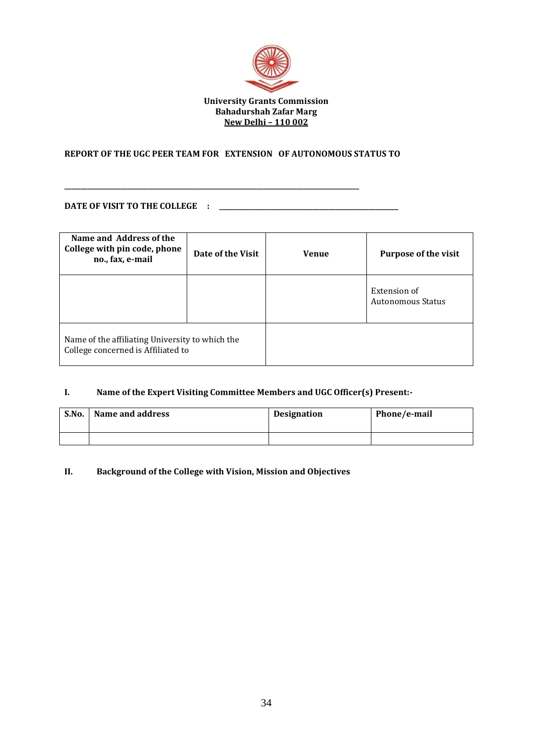

# **REPORT OF THE UGC PEER TEAM FOR EXTENSION OF AUTONOMOUS STATUS TO**

**\_\_\_\_\_\_\_\_\_\_\_\_\_\_\_\_\_\_\_\_\_\_\_\_\_\_\_\_\_\_\_\_\_\_\_\_\_\_\_\_\_\_\_\_\_\_\_\_\_\_\_\_\_\_\_\_\_\_\_\_\_\_\_\_\_\_\_\_\_\_\_\_\_\_\_\_\_\_\_\_\_\_\_\_\_\_\_\_\_** 

#### **DATE OF VISIT TO THE COLLEGE : \_\_\_\_\_\_\_\_\_\_\_\_\_\_\_\_\_\_\_\_\_\_\_\_\_\_\_\_\_\_\_\_\_\_\_\_\_\_\_\_\_\_\_\_\_\_\_\_\_\_\_\_\_\_**

| Name and Address of the<br>College with pin code, phone<br>no., fax, e-mail           | Date of the Visit | <b>Venue</b> | <b>Purpose of the visit</b>       |
|---------------------------------------------------------------------------------------|-------------------|--------------|-----------------------------------|
|                                                                                       |                   |              | Extension of<br>Autonomous Status |
| Name of the affiliating University to which the<br>College concerned is Affiliated to |                   |              |                                   |

# **I. Name of the Expert Visiting Committee Members and UGC Officer(s) Present:-**

| S.No. | Name and address | Designation | Phone/e-mail |
|-------|------------------|-------------|--------------|
|       |                  |             |              |

# **II. Background of the College with Vision, Mission and Objectives**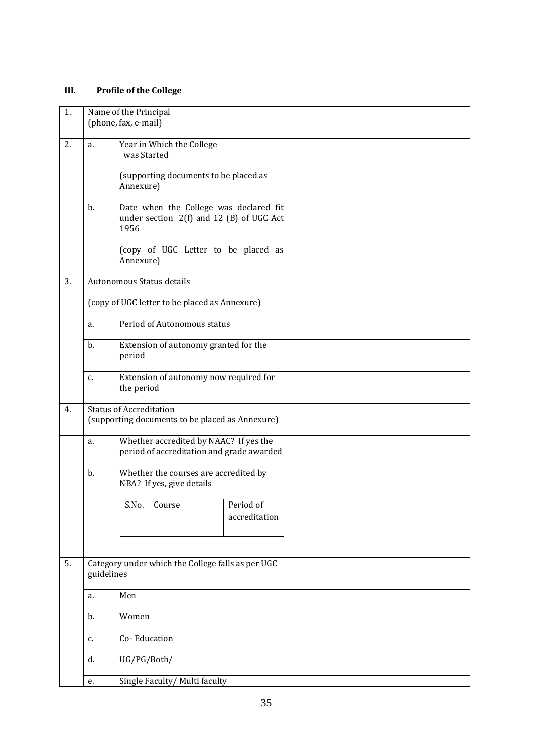# **III. Profile of the College**

| 1. |            | Name of the Principal<br>(phone, fax, e-mail)                                       |
|----|------------|-------------------------------------------------------------------------------------|
| 2. |            |                                                                                     |
|    | a.         | Year in Which the College<br>was Started                                            |
|    |            | (supporting documents to be placed as<br>Annexure)                                  |
|    | $b$ .      | Date when the College was declared fit                                              |
|    |            | under section $2(f)$ and 12 (B) of UGC Act<br>1956                                  |
|    |            | (copy of UGC Letter to be placed as<br>Annexure)                                    |
| 3. |            | Autonomous Status details                                                           |
|    |            | (copy of UGC letter to be placed as Annexure)                                       |
|    | a.         | Period of Autonomous status                                                         |
|    | b.         | Extension of autonomy granted for the<br>period                                     |
|    | c.         | Extension of autonomy now required for<br>the period                                |
| 4. |            | <b>Status of Accreditation</b><br>(supporting documents to be placed as Annexure)   |
|    | a.         | Whether accredited by NAAC? If yes the<br>period of accreditation and grade awarded |
|    | b.         | Whether the courses are accredited by<br>NBA? If yes, give details                  |
|    |            | S.No. Course<br>Period of                                                           |
|    |            | accreditation                                                                       |
|    |            |                                                                                     |
| 5. |            | Category under which the College falls as per UGC                                   |
|    | guidelines |                                                                                     |
|    | a.         | Men                                                                                 |
|    | b.         | Women                                                                               |
|    | c.         | Co-Education                                                                        |
|    | d.         | UG/PG/Both/                                                                         |
|    | e.         | Single Faculty/ Multi faculty                                                       |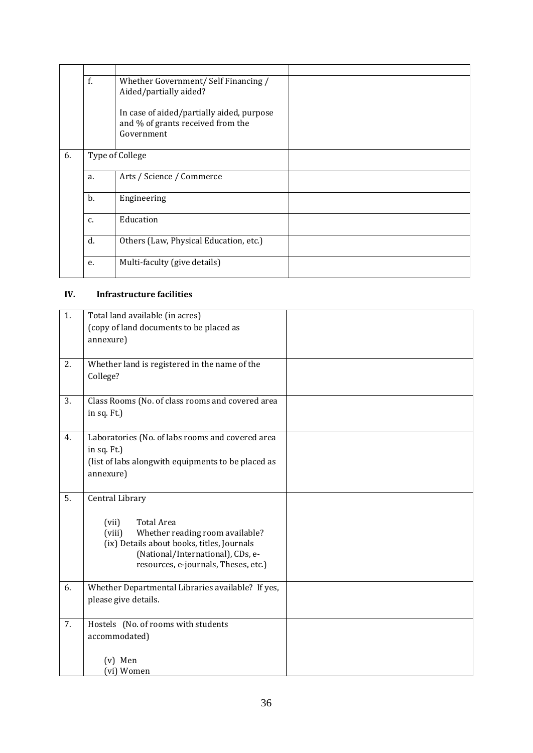|                                      | f.              | Whether Government/Self Financing /<br>Aided/partially aided?<br>In case of aided/partially aided, purpose<br>and % of grants received from the<br>Government |  |
|--------------------------------------|-----------------|---------------------------------------------------------------------------------------------------------------------------------------------------------------|--|
|                                      |                 |                                                                                                                                                               |  |
| 6.                                   | Type of College |                                                                                                                                                               |  |
|                                      | a.              | Arts / Science / Commerce                                                                                                                                     |  |
| b.<br>Engineering<br>Education<br>C. |                 |                                                                                                                                                               |  |
|                                      |                 |                                                                                                                                                               |  |
|                                      | d.              | Others (Law, Physical Education, etc.)                                                                                                                        |  |
| Multi-faculty (give details)<br>e.   |                 |                                                                                                                                                               |  |

# **IV. Infrastructure facilities**

| 1.               | Total land available (in acres)                    |  |  |  |  |
|------------------|----------------------------------------------------|--|--|--|--|
|                  | (copy of land documents to be placed as            |  |  |  |  |
|                  | annexure)                                          |  |  |  |  |
|                  |                                                    |  |  |  |  |
| 2.               | Whether land is registered in the name of the      |  |  |  |  |
|                  | College?                                           |  |  |  |  |
|                  |                                                    |  |  |  |  |
| 3.               | Class Rooms (No. of class rooms and covered area   |  |  |  |  |
|                  | in sq. Ft.)                                        |  |  |  |  |
|                  |                                                    |  |  |  |  |
| 4.               | Laboratories (No. of labs rooms and covered area   |  |  |  |  |
|                  | in sq. Ft.)                                        |  |  |  |  |
|                  | (list of labs alongwith equipments to be placed as |  |  |  |  |
|                  | annexure)                                          |  |  |  |  |
|                  |                                                    |  |  |  |  |
| $\overline{5}$ . | Central Library                                    |  |  |  |  |
|                  |                                                    |  |  |  |  |
|                  | Total Area<br>(vii)                                |  |  |  |  |
|                  | Whether reading room available?<br>(viii)          |  |  |  |  |
|                  | (ix) Details about books, titles, Journals         |  |  |  |  |
|                  | (National/International), CDs, e-                  |  |  |  |  |
|                  | resources, e-journals, Theses, etc.)               |  |  |  |  |
| 6.               | Whether Departmental Libraries available? If yes,  |  |  |  |  |
|                  | please give details.                               |  |  |  |  |
|                  |                                                    |  |  |  |  |
| 7.               | Hostels (No. of rooms with students                |  |  |  |  |
|                  | accommodated)                                      |  |  |  |  |
|                  |                                                    |  |  |  |  |
|                  | (v) Men                                            |  |  |  |  |
|                  | (vi) Women                                         |  |  |  |  |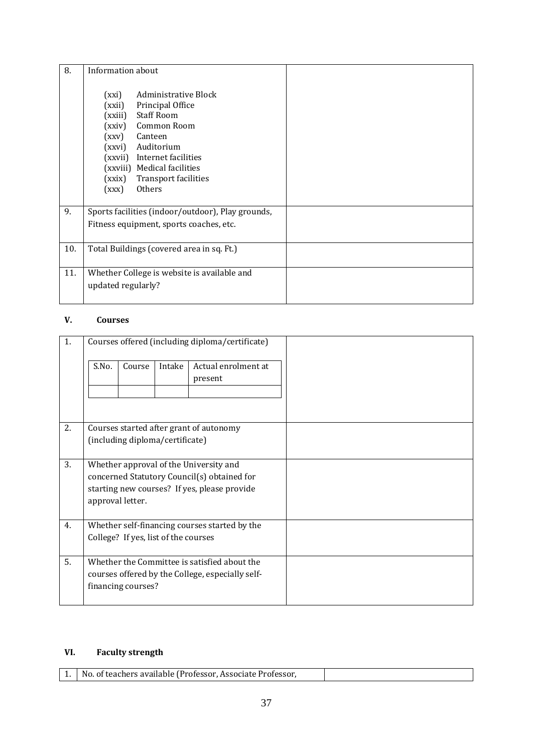| 8.  | Information about                                                                                                                                                                                                                                                                                    |  |  |  |
|-----|------------------------------------------------------------------------------------------------------------------------------------------------------------------------------------------------------------------------------------------------------------------------------------------------------|--|--|--|
|     | Administrative Block<br>(xxi)<br>Principal Office<br>(xxii)<br><b>Staff Room</b><br>(xxiii)<br><b>Common Room</b><br>(xxiv)<br>(xxy)<br>Canteen<br>Auditorium<br>(xxvi)<br>(xxvii)<br>Internet facilities<br>(xxviii) Medical facilities<br><b>Transport facilities</b><br>(xxix)<br>Others<br>(xxx) |  |  |  |
| 9.  | Sports facilities (indoor/outdoor), Play grounds,<br>Fitness equipment, sports coaches, etc.                                                                                                                                                                                                         |  |  |  |
| 10. | Total Buildings (covered area in sq. Ft.)                                                                                                                                                                                                                                                            |  |  |  |
| 11. | Whether College is website is available and<br>updated regularly?                                                                                                                                                                                                                                    |  |  |  |

# **V. Courses**

| 1. |                                                                                                                                                           | Courses offered (including diploma/certificate) |        |                                         |  |
|----|-----------------------------------------------------------------------------------------------------------------------------------------------------------|-------------------------------------------------|--------|-----------------------------------------|--|
|    | S.No.                                                                                                                                                     | Course                                          | Intake | Actual enrolment at<br>present          |  |
| 2. |                                                                                                                                                           | (including diploma/certificate)                 |        | Courses started after grant of autonomy |  |
| 3. | Whether approval of the University and<br>concerned Statutory Council(s) obtained for<br>starting new courses? If yes, please provide<br>approval letter. |                                                 |        |                                         |  |
| 4. | Whether self-financing courses started by the<br>College? If yes, list of the courses                                                                     |                                                 |        |                                         |  |
| 5. | Whether the Committee is satisfied about the<br>courses offered by the College, especially self-<br>financing courses?                                    |                                                 |        |                                         |  |

# **VI. Faculty strength**

| .   No. of teachers available (Professor, Associate Professor, ) |  |  |
|------------------------------------------------------------------|--|--|
|                                                                  |  |  |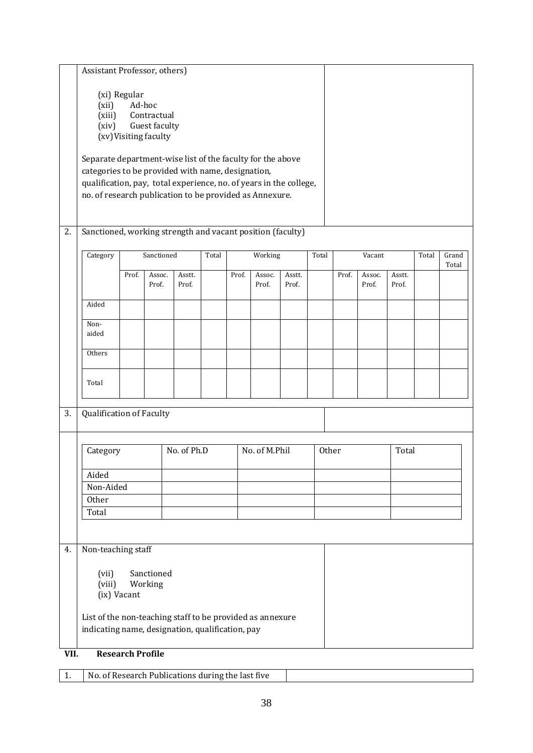|      | Assistant Professor, others)                                                                                                                                                                                                                                                                                                                                    |                         |                 |                 |       |       |                 |                 |       |       |                 |                 |       |       |
|------|-----------------------------------------------------------------------------------------------------------------------------------------------------------------------------------------------------------------------------------------------------------------------------------------------------------------------------------------------------------------|-------------------------|-----------------|-----------------|-------|-------|-----------------|-----------------|-------|-------|-----------------|-----------------|-------|-------|
|      | (xi) Regular<br>(xii)<br>Ad-hoc<br>Contractual<br>(xiii)<br>Guest faculty<br>(xiv)<br>(xv) Visiting faculty<br>Separate department-wise list of the faculty for the above<br>categories to be provided with name, designation,<br>qualification, pay, total experience, no. of years in the college,<br>no. of research publication to be provided as Annexure. |                         |                 |                 |       |       |                 |                 |       |       |                 |                 |       |       |
| 2.   | Sanctioned, working strength and vacant position (faculty)                                                                                                                                                                                                                                                                                                      |                         |                 |                 |       |       |                 |                 |       |       |                 |                 |       |       |
|      | Category                                                                                                                                                                                                                                                                                                                                                        |                         | Sanctioned      |                 | Total |       | Working         |                 | Total |       | Vacant          |                 | Total | Grand |
|      |                                                                                                                                                                                                                                                                                                                                                                 | Prof.                   | Assoc.<br>Prof. | Asstt.<br>Prof. |       | Prof. | Assoc.<br>Prof. | Asstt.<br>Prof. |       | Prof. | Assoc.<br>Prof. | Asstt.<br>Prof. |       | Total |
|      | Aided                                                                                                                                                                                                                                                                                                                                                           |                         |                 |                 |       |       |                 |                 |       |       |                 |                 |       |       |
|      | Non-                                                                                                                                                                                                                                                                                                                                                            |                         |                 |                 |       |       |                 |                 |       |       |                 |                 |       |       |
|      | aided                                                                                                                                                                                                                                                                                                                                                           |                         |                 |                 |       |       |                 |                 |       |       |                 |                 |       |       |
|      | Others                                                                                                                                                                                                                                                                                                                                                          |                         |                 |                 |       |       |                 |                 |       |       |                 |                 |       |       |
|      | Total                                                                                                                                                                                                                                                                                                                                                           |                         |                 |                 |       |       |                 |                 |       |       |                 |                 |       |       |
| 3.   | Qualification of Faculty                                                                                                                                                                                                                                                                                                                                        |                         |                 |                 |       |       |                 |                 |       |       |                 |                 |       |       |
|      |                                                                                                                                                                                                                                                                                                                                                                 |                         |                 |                 |       |       |                 |                 |       |       |                 |                 |       |       |
|      | No. of Ph.D<br>No. of M.Phil<br>Category                                                                                                                                                                                                                                                                                                                        |                         |                 |                 | Other |       | Total           |                 |       |       |                 |                 |       |       |
|      | Aided                                                                                                                                                                                                                                                                                                                                                           |                         |                 |                 |       |       |                 |                 |       |       |                 |                 |       |       |
|      | Non-Aided<br>Other                                                                                                                                                                                                                                                                                                                                              |                         |                 |                 |       |       |                 |                 |       |       |                 |                 |       |       |
|      | Total                                                                                                                                                                                                                                                                                                                                                           |                         |                 |                 |       |       |                 |                 |       |       |                 |                 |       |       |
|      |                                                                                                                                                                                                                                                                                                                                                                 |                         |                 |                 |       |       |                 |                 |       |       |                 |                 |       |       |
| 4.   | Non-teaching staff                                                                                                                                                                                                                                                                                                                                              |                         |                 |                 |       |       |                 |                 |       |       |                 |                 |       |       |
|      | Sanctioned<br>(vii)                                                                                                                                                                                                                                                                                                                                             |                         |                 |                 |       |       |                 |                 |       |       |                 |                 |       |       |
|      | (viii)                                                                                                                                                                                                                                                                                                                                                          | (ix) Vacant             | Working         |                 |       |       |                 |                 |       |       |                 |                 |       |       |
|      | List of the non-teaching staff to be provided as annexure                                                                                                                                                                                                                                                                                                       |                         |                 |                 |       |       |                 |                 |       |       |                 |                 |       |       |
|      | indicating name, designation, qualification, pay                                                                                                                                                                                                                                                                                                                |                         |                 |                 |       |       |                 |                 |       |       |                 |                 |       |       |
| VII. |                                                                                                                                                                                                                                                                                                                                                                 | <b>Research Profile</b> |                 |                 |       |       |                 |                 |       |       |                 |                 |       |       |

|  | No. of Research Publications during the last five |  |
|--|---------------------------------------------------|--|
|--|---------------------------------------------------|--|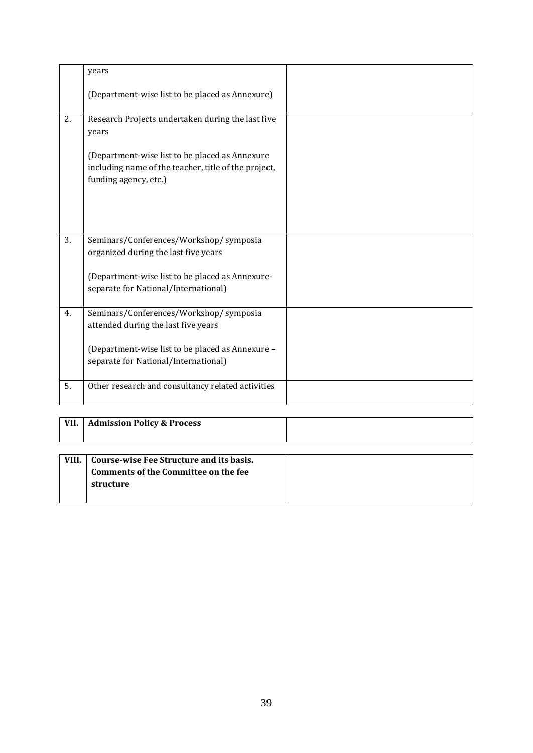|    | years                                                                                                                           |  |
|----|---------------------------------------------------------------------------------------------------------------------------------|--|
|    | (Department-wise list to be placed as Annexure)                                                                                 |  |
| 2. | Research Projects undertaken during the last five<br>years                                                                      |  |
|    | (Department-wise list to be placed as Annexure<br>including name of the teacher, title of the project,<br>funding agency, etc.) |  |
| 3. | Seminars/Conferences/Workshop/ symposia<br>organized during the last five years                                                 |  |
|    | (Department-wise list to be placed as Annexure-<br>separate for National/International)                                         |  |
| 4. | Seminars/Conferences/Workshop/ symposia<br>attended during the last five years                                                  |  |
|    | (Department-wise list to be placed as Annexure -<br>separate for National/International)                                        |  |
| 5. | Other research and consultancy related activities                                                                               |  |

| VII. | <b>Admission Policy &amp; Process</b> |  |
|------|---------------------------------------|--|
|      |                                       |  |

| VIII. | Course-wise Fee Structure and its basis. |  |
|-------|------------------------------------------|--|
|       | Comments of the Committee on the fee     |  |
|       | structure                                |  |
|       |                                          |  |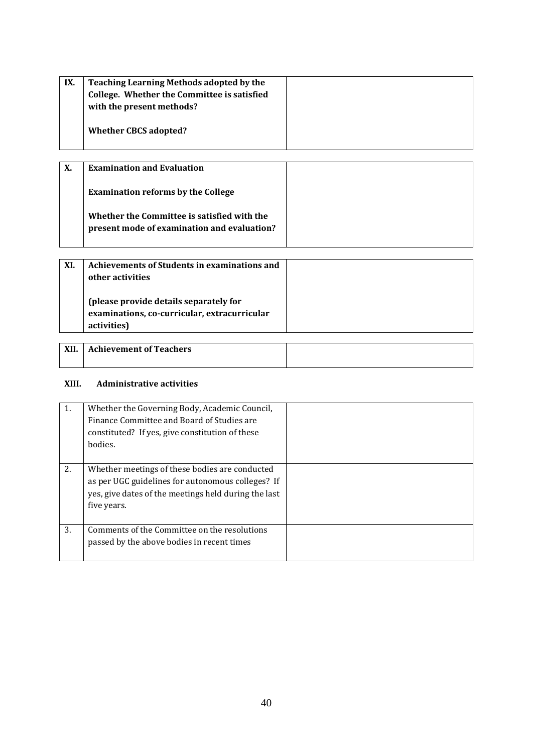| IX. | Teaching Learning Methods adopted by the<br>College. Whether the Committee is satisfied<br>with the present methods? |  |
|-----|----------------------------------------------------------------------------------------------------------------------|--|
|     | <b>Whether CBCS adopted?</b>                                                                                         |  |

| Х. | <b>Examination and Evaluation</b>                                                          |  |
|----|--------------------------------------------------------------------------------------------|--|
|    | <b>Examination reforms by the College</b>                                                  |  |
|    | Whether the Committee is satisfied with the<br>present mode of examination and evaluation? |  |

| XI. | Achievements of Students in examinations and<br>other activities                                      |  |
|-----|-------------------------------------------------------------------------------------------------------|--|
|     | (please provide details separately for<br>examinations, co-curricular, extracurricular<br>activities) |  |

| <b>XII</b> | <b>Achievement of Teachers</b> |  |
|------------|--------------------------------|--|
|            |                                |  |

# **XIII. Administrative activities**

| 1. | Whether the Governing Body, Academic Council,<br>Finance Committee and Board of Studies are<br>constituted? If yes, give constitution of these<br>bodies.                  |  |
|----|----------------------------------------------------------------------------------------------------------------------------------------------------------------------------|--|
| 2. | Whether meetings of these bodies are conducted<br>as per UGC guidelines for autonomous colleges? If<br>yes, give dates of the meetings held during the last<br>five years. |  |
| 3. | Comments of the Committee on the resolutions<br>passed by the above bodies in recent times                                                                                 |  |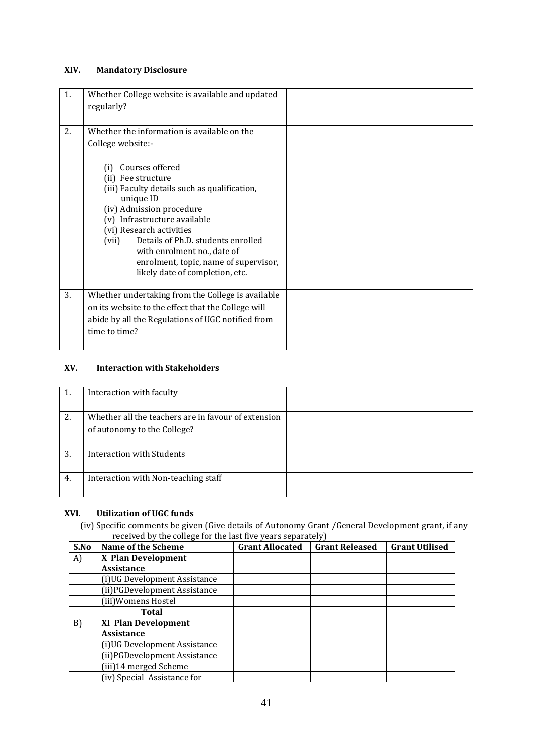# **XIV. Mandatory Disclosure**

| 1. | Whether College website is available and updated<br>regularly?                                                                                                                                                                                                                                                                                              |  |
|----|-------------------------------------------------------------------------------------------------------------------------------------------------------------------------------------------------------------------------------------------------------------------------------------------------------------------------------------------------------------|--|
| 2. | Whether the information is available on the                                                                                                                                                                                                                                                                                                                 |  |
|    | College website:-                                                                                                                                                                                                                                                                                                                                           |  |
|    | Courses offered<br>(i)<br>(ii) Fee structure<br>(iii) Faculty details such as qualification,<br>unique ID<br>(iv) Admission procedure<br>(v) Infrastructure available<br>(vi) Research activities<br>Details of Ph.D. students enrolled<br>(vii)<br>with enrolment no., date of<br>enrolment, topic, name of supervisor,<br>likely date of completion, etc. |  |
| 3. | Whether undertaking from the College is available                                                                                                                                                                                                                                                                                                           |  |
|    | on its website to the effect that the College will                                                                                                                                                                                                                                                                                                          |  |
|    | abide by all the Regulations of UGC notified from                                                                                                                                                                                                                                                                                                           |  |
|    | time to time?                                                                                                                                                                                                                                                                                                                                               |  |
|    |                                                                                                                                                                                                                                                                                                                                                             |  |

# **XV. Interaction with Stakeholders**

| 1. | Interaction with faculty                                                           |  |
|----|------------------------------------------------------------------------------------|--|
| 2. | Whether all the teachers are in favour of extension<br>of autonomy to the College? |  |
| 3. | Interaction with Students                                                          |  |
| 4. | Interaction with Non-teaching staff                                                |  |

# **XVI. Utilization of UGC funds**

(iv) Specific comments be given (Give details of Autonomy Grant /General Development grant, if any received by the college for the last five years separately)

| S.No | <b>Name of the Scheme</b>     | <b>Grant Allocated</b> | <b>Grant Released</b> | <b>Grant Utilised</b> |
|------|-------------------------------|------------------------|-----------------------|-----------------------|
| A)   | X Plan Development            |                        |                       |                       |
|      | <b>Assistance</b>             |                        |                       |                       |
|      | (i) UG Development Assistance |                        |                       |                       |
|      | (ii) PGDevelopment Assistance |                        |                       |                       |
|      | (iii)Womens Hostel            |                        |                       |                       |
|      | Total                         |                        |                       |                       |
| B)   | <b>XI Plan Development</b>    |                        |                       |                       |
|      | <b>Assistance</b>             |                        |                       |                       |
|      | (i) UG Development Assistance |                        |                       |                       |
|      | (ii) PGDevelopment Assistance |                        |                       |                       |
|      | (iii)14 merged Scheme         |                        |                       |                       |
|      | (iv) Special Assistance for   |                        |                       |                       |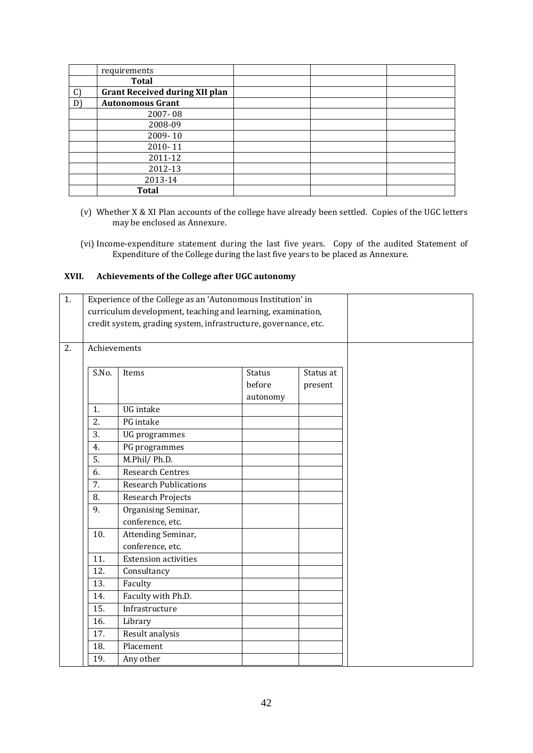|               | requirements                          |  |  |
|---------------|---------------------------------------|--|--|
|               | <b>Total</b>                          |  |  |
| $\mathcal{C}$ | <b>Grant Received during XII plan</b> |  |  |
| D'            | <b>Autonomous Grant</b>               |  |  |
|               | 2007-08                               |  |  |
|               | 2008-09                               |  |  |
|               | 2009-10                               |  |  |
|               | 2010-11                               |  |  |
|               | 2011-12                               |  |  |
|               | 2012-13                               |  |  |
|               | 2013-14                               |  |  |
|               | <b>Total</b>                          |  |  |

- (v) Whether X & XI Plan accounts of the college have already been settled. Copies of the UGC letters may be enclosed as Annexure.
- (vi) Income-expenditure statement during the last five years. Copy of the audited Statement of Expenditure of the College during the last five years to be placed as Annexure.

#### **XVII. Achievements of the College after UGC autonomy**

| 1. | Experience of the College as an 'Autonomous Institution' in     |                              |               |           |  |
|----|-----------------------------------------------------------------|------------------------------|---------------|-----------|--|
|    | curriculum development, teaching and learning, examination,     |                              |               |           |  |
|    | credit system, grading system, infrastructure, governance, etc. |                              |               |           |  |
|    |                                                                 |                              |               |           |  |
| 2. | Achievements                                                    |                              |               |           |  |
|    |                                                                 |                              |               |           |  |
|    | S.No.                                                           | Items                        | <b>Status</b> | Status at |  |
|    |                                                                 |                              | before        | present   |  |
|    |                                                                 |                              | autonomy      |           |  |
|    | 1.                                                              | UG intake                    |               |           |  |
|    | 2.                                                              | PG intake                    |               |           |  |
|    | 3.                                                              | UG programmes                |               |           |  |
|    | 4.                                                              | PG programmes                |               |           |  |
|    | 5.                                                              | M.Phil/Ph.D.                 |               |           |  |
|    | 6.                                                              | <b>Research Centres</b>      |               |           |  |
|    | 7.                                                              | <b>Research Publications</b> |               |           |  |
|    | 8.                                                              | <b>Research Projects</b>     |               |           |  |
|    | 9.                                                              | Organising Seminar,          |               |           |  |
|    |                                                                 | conference, etc.             |               |           |  |
|    | 10.                                                             | Attending Seminar,           |               |           |  |
|    |                                                                 | conference, etc.             |               |           |  |
|    | 11.                                                             | <b>Extension activities</b>  |               |           |  |
|    | 12.                                                             | Consultancy                  |               |           |  |
|    | 13.                                                             | Faculty                      |               |           |  |
|    | 14.                                                             | Faculty with Ph.D.           |               |           |  |
|    | 15.                                                             | Infrastructure               |               |           |  |
|    | 16.                                                             | Library                      |               |           |  |
|    | 17.                                                             | Result analysis              |               |           |  |
|    | 18.                                                             | Placement                    |               |           |  |
|    | 19.                                                             | Any other                    |               |           |  |